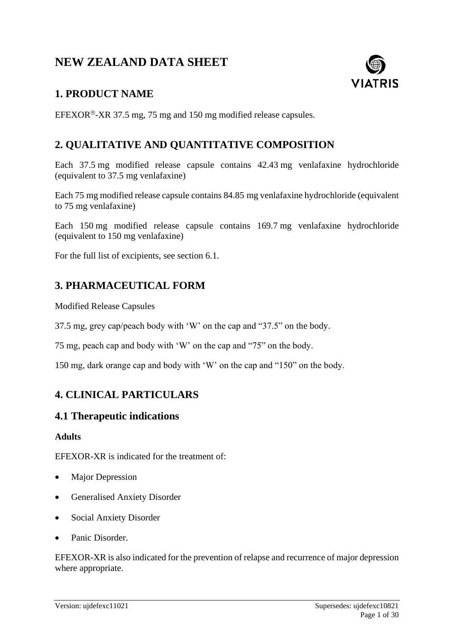# **NEW ZEALAND DATA SHEET**



# **1. PRODUCT NAME**

EFEXOR®-XR 37.5 mg, 75 mg and 150 mg modified release capsules.

# **2. QUALITATIVE AND QUANTITATIVE COMPOSITION**

Each 37.5 mg modified release capsule contains 42.43 mg venlafaxine hydrochloride (equivalent to 37.5 mg venlafaxine)

Each 75 mg modified release capsule contains 84.85 mg venlafaxine hydrochloride (equivalent to 75 mg venlafaxine)

Each 150 mg modified release capsule contains 169.7 mg venlafaxine hydrochloride (equivalent to 150 mg venlafaxine)

For the full list of excipients, see section 6.1.

# **3. PHARMACEUTICAL FORM**

Modified Release Capsules

37.5 mg, grey cap/peach body with 'W' on the cap and "37.5" on the body.

75 mg, peach cap and body with 'W' on the cap and "75" on the body.

150 mg, dark orange cap and body with 'W' on the cap and "150" on the body.

# **4. CLINICAL PARTICULARS**

### **4.1 Therapeutic indications**

#### **Adults**

EFEXOR-XR is indicated for the treatment of:

- Major Depression
- Generalised Anxiety Disorder
- Social Anxiety Disorder
- Panic Disorder.

EFEXOR-XR is also indicated for the prevention of relapse and recurrence of major depression where appropriate.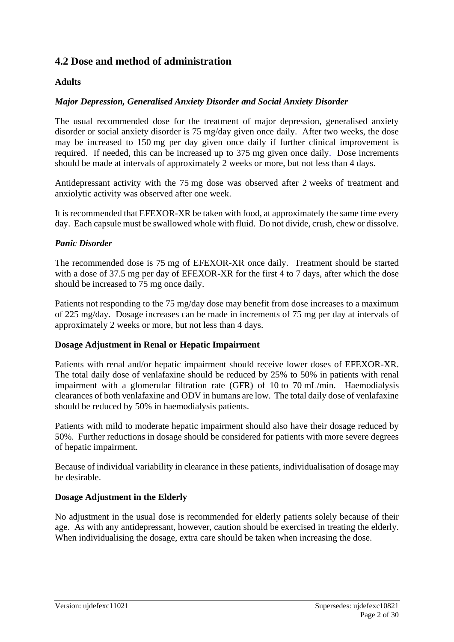# **4.2 Dose and method of administration**

### **Adults**

### *Major Depression, Generalised Anxiety Disorder and Social Anxiety Disorder*

The usual recommended dose for the treatment of major depression, generalised anxiety disorder or social anxiety disorder is 75 mg/day given once daily. After two weeks, the dose may be increased to 150 mg per day given once daily if further clinical improvement is required. If needed, this can be increased up to 375 mg given once daily. Dose increments should be made at intervals of approximately 2 weeks or more, but not less than 4 days.

Antidepressant activity with the 75 mg dose was observed after 2 weeks of treatment and anxiolytic activity was observed after one week.

It is recommended that EFEXOR-XR be taken with food, at approximately the same time every day. Each capsule must be swallowed whole with fluid. Do not divide, crush, chew or dissolve.

### *Panic Disorder*

The recommended dose is 75 mg of EFEXOR-XR once daily. Treatment should be started with a dose of 37.5 mg per day of EFEXOR-XR for the first 4 to 7 days, after which the dose should be increased to 75 mg once daily.

Patients not responding to the 75 mg/day dose may benefit from dose increases to a maximum of 225 mg/day. Dosage increases can be made in increments of 75 mg per day at intervals of approximately 2 weeks or more, but not less than 4 days.

### **Dosage Adjustment in Renal or Hepatic Impairment**

Patients with renal and/or hepatic impairment should receive lower doses of EFEXOR-XR. The total daily dose of venlafaxine should be reduced by 25% to 50% in patients with renal impairment with a glomerular filtration rate (GFR) of 10 to 70 mL/min. Haemodialysis clearances of both venlafaxine and ODV in humans are low. The total daily dose of venlafaxine should be reduced by 50% in haemodialysis patients.

Patients with mild to moderate hepatic impairment should also have their dosage reduced by 50%. Further reductions in dosage should be considered for patients with more severe degrees of hepatic impairment.

Because of individual variability in clearance in these patients, individualisation of dosage may be desirable.

### **Dosage Adjustment in the Elderly**

No adjustment in the usual dose is recommended for elderly patients solely because of their age. As with any antidepressant, however, caution should be exercised in treating the elderly. When individualising the dosage, extra care should be taken when increasing the dose.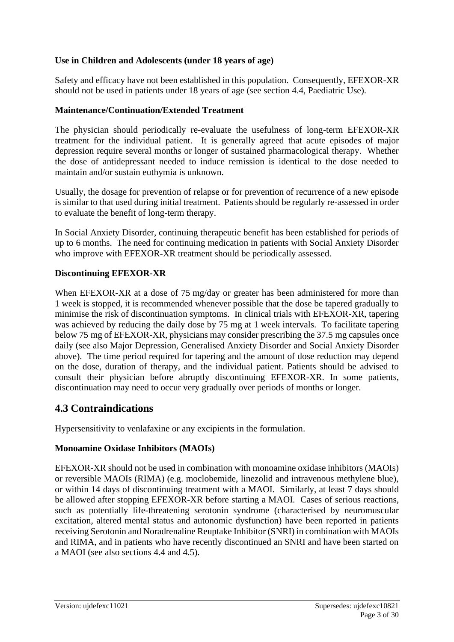### **Use in Children and Adolescents (under 18 years of age)**

Safety and efficacy have not been established in this population. Consequently, EFEXOR-XR should not be used in patients under 18 years of age (see section 4.4, Paediatric Use).

#### **Maintenance/Continuation/Extended Treatment**

The physician should periodically re-evaluate the usefulness of long-term EFEXOR-XR treatment for the individual patient. It is generally agreed that acute episodes of major depression require several months or longer of sustained pharmacological therapy. Whether the dose of antidepressant needed to induce remission is identical to the dose needed to maintain and/or sustain euthymia is unknown.

Usually, the dosage for prevention of relapse or for prevention of recurrence of a new episode is similar to that used during initial treatment. Patients should be regularly re-assessed in order to evaluate the benefit of long-term therapy.

In Social Anxiety Disorder, continuing therapeutic benefit has been established for periods of up to 6 months. The need for continuing medication in patients with Social Anxiety Disorder who improve with EFEXOR-XR treatment should be periodically assessed.

#### **Discontinuing EFEXOR-XR**

When EFEXOR-XR at a dose of 75 mg/day or greater has been administered for more than 1 week is stopped, it is recommended whenever possible that the dose be tapered gradually to minimise the risk of discontinuation symptoms. In clinical trials with EFEXOR-XR, tapering was achieved by reducing the daily dose by 75 mg at 1 week intervals. To facilitate tapering below 75 mg of EFEXOR-XR, physicians may consider prescribing the 37.5 mg capsules once daily (see also Major Depression, Generalised Anxiety Disorder and Social Anxiety Disorder above). The time period required for tapering and the amount of dose reduction may depend on the dose, duration of therapy, and the individual patient. Patients should be advised to consult their physician before abruptly discontinuing EFEXOR-XR. In some patients, discontinuation may need to occur very gradually over periods of months or longer.

# **4.3 Contraindications**

Hypersensitivity to venlafaxine or any excipients in the formulation.

### **Monoamine Oxidase Inhibitors (MAOIs)**

EFEXOR-XR should not be used in combination with monoamine oxidase inhibitors (MAOIs) or reversible MAOIs (RIMA) (e.g. moclobemide, linezolid and intravenous methylene blue), or within 14 days of discontinuing treatment with a MAOI. Similarly, at least 7 days should be allowed after stopping EFEXOR-XR before starting a MAOI. Cases of serious reactions, such as potentially life-threatening serotonin syndrome (characterised by neuromuscular excitation, altered mental status and autonomic dysfunction) have been reported in patients receiving Serotonin and Noradrenaline Reuptake Inhibitor (SNRI) in combination with MAOIs and RIMA, and in patients who have recently discontinued an SNRI and have been started on a MAOI (see also sections 4.4 and 4.5).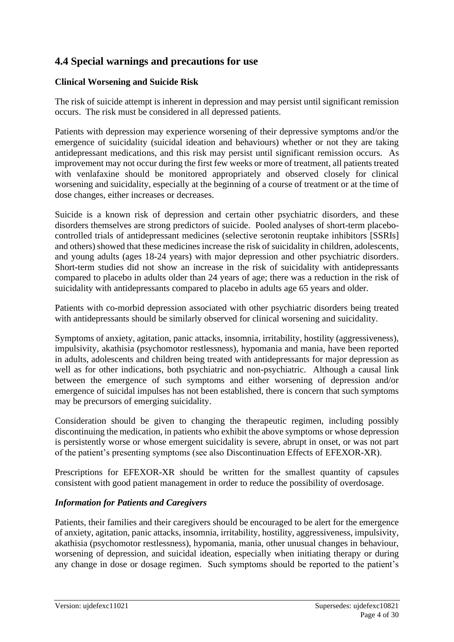# **4.4 Special warnings and precautions for use**

### **Clinical Worsening and Suicide Risk**

The risk of suicide attempt is inherent in depression and may persist until significant remission occurs. The risk must be considered in all depressed patients.

Patients with depression may experience worsening of their depressive symptoms and/or the emergence of suicidality (suicidal ideation and behaviours) whether or not they are taking antidepressant medications, and this risk may persist until significant remission occurs. As improvement may not occur during the first few weeks or more of treatment, all patients treated with venlafaxine should be monitored appropriately and observed closely for clinical worsening and suicidality, especially at the beginning of a course of treatment or at the time of dose changes, either increases or decreases.

Suicide is a known risk of depression and certain other psychiatric disorders, and these disorders themselves are strong predictors of suicide. Pooled analyses of short-term placebocontrolled trials of antidepressant medicines (selective serotonin reuptake inhibitors [SSRIs] and others) showed that these medicines increase the risk of suicidality in children, adolescents, and young adults (ages 18-24 years) with major depression and other psychiatric disorders. Short-term studies did not show an increase in the risk of suicidality with antidepressants compared to placebo in adults older than 24 years of age; there was a reduction in the risk of suicidality with antidepressants compared to placebo in adults age 65 years and older.

Patients with co-morbid depression associated with other psychiatric disorders being treated with antidepressants should be similarly observed for clinical worsening and suicidality.

Symptoms of anxiety, agitation, panic attacks, insomnia, irritability, hostility (aggressiveness), impulsivity, akathisia (psychomotor restlessness), hypomania and mania, have been reported in adults, adolescents and children being treated with antidepressants for major depression as well as for other indications, both psychiatric and non-psychiatric. Although a causal link between the emergence of such symptoms and either worsening of depression and/or emergence of suicidal impulses has not been established, there is concern that such symptoms may be precursors of emerging suicidality.

Consideration should be given to changing the therapeutic regimen, including possibly discontinuing the medication, in patients who exhibit the above symptoms or whose depression is persistently worse or whose emergent suicidality is severe, abrupt in onset, or was not part of the patient's presenting symptoms (see also Discontinuation Effects of EFEXOR-XR).

Prescriptions for EFEXOR-XR should be written for the smallest quantity of capsules consistent with good patient management in order to reduce the possibility of overdosage.

### *Information for Patients and Caregivers*

Patients, their families and their caregivers should be encouraged to be alert for the emergence of anxiety, agitation, panic attacks, insomnia, irritability, hostility, aggressiveness, impulsivity, akathisia (psychomotor restlessness), hypomania, mania, other unusual changes in behaviour, worsening of depression, and suicidal ideation, especially when initiating therapy or during any change in dose or dosage regimen. Such symptoms should be reported to the patient's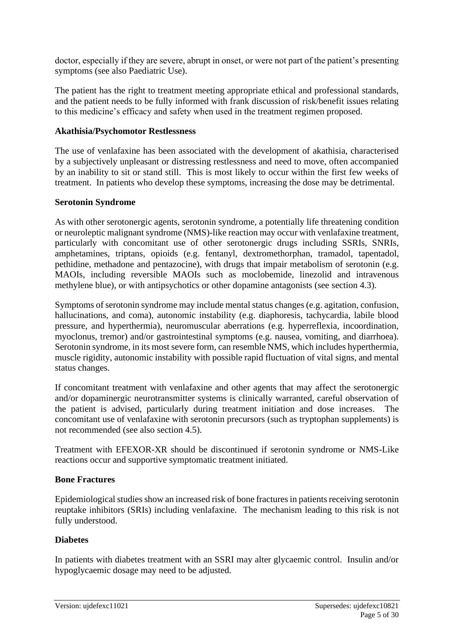doctor, especially if they are severe, abrupt in onset, or were not part of the patient's presenting symptoms (see also Paediatric Use).

The patient has the right to treatment meeting appropriate ethical and professional standards, and the patient needs to be fully informed with frank discussion of risk/benefit issues relating to this medicine's efficacy and safety when used in the treatment regimen proposed.

### **Akathisia/Psychomotor Restlessness**

The use of venlafaxine has been associated with the development of akathisia, characterised by a subjectively unpleasant or distressing restlessness and need to move, often accompanied by an inability to sit or stand still. This is most likely to occur within the first few weeks of treatment. In patients who develop these symptoms, increasing the dose may be detrimental.

### **Serotonin Syndrome**

As with other serotonergic agents, serotonin syndrome, a potentially life threatening condition or neuroleptic malignant syndrome (NMS)-like reaction may occur with venlafaxine treatment, particularly with concomitant use of other serotonergic drugs including SSRIs, SNRIs, amphetamines, triptans, opioids (e.g. fentanyl, dextromethorphan, tramadol, tapentadol, pethidine, methadone and pentazocine), with drugs that impair metabolism of serotonin (e.g. MAOIs, including reversible MAOIs such as moclobemide, linezolid and intravenous methylene blue), or with antipsychotics or other dopamine antagonists (see section 4.3).

Symptoms of serotonin syndrome may include mental status changes (e.g. agitation, confusion, hallucinations, and coma), autonomic instability (e.g. diaphoresis, tachycardia, labile blood pressure, and hyperthermia), neuromuscular aberrations (e.g. hyperreflexia, incoordination, myoclonus, tremor) and/or gastrointestinal symptoms (e.g. nausea, vomiting, and diarrhoea). Serotonin syndrome, in its most severe form, can resemble NMS, which includes hyperthermia, muscle rigidity, autonomic instability with possible rapid fluctuation of vital signs, and mental status changes.

If concomitant treatment with venlafaxine and other agents that may affect the serotonergic and/or dopaminergic neurotransmitter systems is clinically warranted, careful observation of the patient is advised, particularly during treatment initiation and dose increases. The concomitant use of venlafaxine with serotonin precursors (such as tryptophan supplements) is not recommended (see also section 4.5).

Treatment with EFEXOR-XR should be discontinued if serotonin syndrome or NMS-Like reactions occur and supportive symptomatic treatment initiated.

### **Bone Fractures**

Epidemiological studies show an increased risk of bone fractures in patients receiving serotonin reuptake inhibitors (SRIs) including venlafaxine. The mechanism leading to this risk is not fully understood.

### **Diabetes**

In patients with diabetes treatment with an SSRI may alter glycaemic control. Insulin and/or hypoglycaemic dosage may need to be adjusted.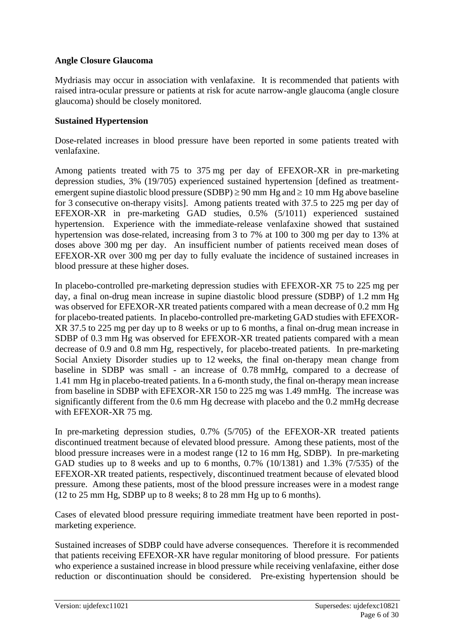### **Angle Closure Glaucoma**

Mydriasis may occur in association with venlafaxine. It is recommended that patients with raised intra-ocular pressure or patients at risk for acute narrow-angle glaucoma (angle closure glaucoma) should be closely monitored.

### **Sustained Hypertension**

Dose-related increases in blood pressure have been reported in some patients treated with venlafaxine.

Among patients treated with 75 to 375 mg per day of EFEXOR-XR in pre-marketing depression studies, 3% (19/705) experienced sustained hypertension [defined as treatmentemergent supine diastolic blood pressure (SDBP)  $\geq$  90 mm Hg and  $\geq$  10 mm Hg above baseline for 3 consecutive on-therapy visits]. Among patients treated with 37.5 to 225 mg per day of EFEXOR-XR in pre-marketing GAD studies, 0.5% (5/1011) experienced sustained hypertension. Experience with the immediate-release venlafaxine showed that sustained hypertension was dose-related, increasing from 3 to 7% at 100 to 300 mg per day to 13% at doses above 300 mg per day. An insufficient number of patients received mean doses of EFEXOR-XR over 300 mg per day to fully evaluate the incidence of sustained increases in blood pressure at these higher doses.

In placebo-controlled pre-marketing depression studies with EFEXOR-XR 75 to 225 mg per day, a final on-drug mean increase in supine diastolic blood pressure (SDBP) of 1.2 mm Hg was observed for EFEXOR-XR treated patients compared with a mean decrease of 0.2 mm Hg for placebo-treated patients. In placebo-controlled pre-marketing GAD studies with EFEXOR-XR 37.5 to 225 mg per day up to 8 weeks or up to 6 months, a final on-drug mean increase in SDBP of 0.3 mm Hg was observed for EFEXOR-XR treated patients compared with a mean decrease of 0.9 and 0.8 mm Hg, respectively, for placebo-treated patients. In pre-marketing Social Anxiety Disorder studies up to 12 weeks, the final on-therapy mean change from baseline in SDBP was small - an increase of 0.78 mmHg, compared to a decrease of 1.41 mm Hg in placebo-treated patients. In a 6-month study, the final on-therapy mean increase from baseline in SDBP with EFEXOR-XR 150 to 225 mg was 1.49 mmHg. The increase was significantly different from the 0.6 mm Hg decrease with placebo and the 0.2 mmHg decrease with EFEXOR-XR 75 mg.

In pre-marketing depression studies, 0.7% (5/705) of the EFEXOR-XR treated patients discontinued treatment because of elevated blood pressure. Among these patients, most of the blood pressure increases were in a modest range (12 to 16 mm Hg, SDBP). In pre-marketing GAD studies up to 8 weeks and up to 6 months, 0.7% (10/1381) and 1.3% (7/535) of the EFEXOR-XR treated patients, respectively, discontinued treatment because of elevated blood pressure. Among these patients, most of the blood pressure increases were in a modest range (12 to 25 mm Hg, SDBP up to 8 weeks; 8 to 28 mm Hg up to 6 months).

Cases of elevated blood pressure requiring immediate treatment have been reported in postmarketing experience.

Sustained increases of SDBP could have adverse consequences. Therefore it is recommended that patients receiving EFEXOR-XR have regular monitoring of blood pressure. For patients who experience a sustained increase in blood pressure while receiving venlafaxine, either dose reduction or discontinuation should be considered. Pre-existing hypertension should be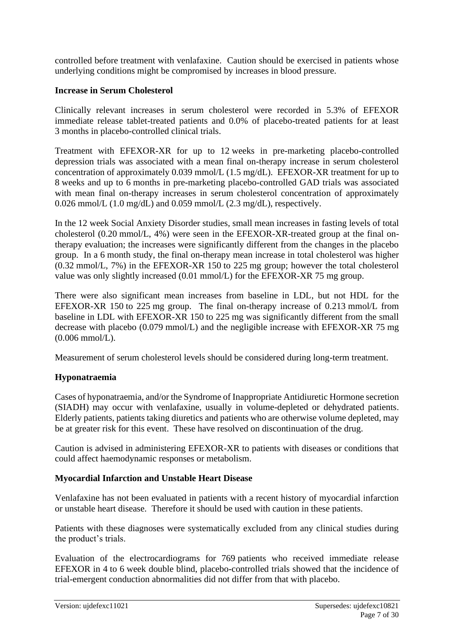controlled before treatment with venlafaxine. Caution should be exercised in patients whose underlying conditions might be compromised by increases in blood pressure.

### **Increase in Serum Cholesterol**

Clinically relevant increases in serum cholesterol were recorded in 5.3% of EFEXOR immediate release tablet-treated patients and 0.0% of placebo-treated patients for at least 3 months in placebo-controlled clinical trials.

Treatment with EFEXOR-XR for up to 12 weeks in pre-marketing placebo-controlled depression trials was associated with a mean final on-therapy increase in serum cholesterol concentration of approximately 0.039 mmol/L (1.5 mg/dL). EFEXOR-XR treatment for up to 8 weeks and up to 6 months in pre-marketing placebo-controlled GAD trials was associated with mean final on-therapy increases in serum cholesterol concentration of approximately 0.026 mmol/L (1.0 mg/dL) and 0.059 mmol/L (2.3 mg/dL), respectively.

In the 12 week Social Anxiety Disorder studies, small mean increases in fasting levels of total cholesterol (0.20 mmol/L, 4%) were seen in the EFEXOR-XR-treated group at the final ontherapy evaluation; the increases were significantly different from the changes in the placebo group. In a 6 month study, the final on-therapy mean increase in total cholesterol was higher (0.32 mmol/L, 7%) in the EFEXOR-XR 150 to 225 mg group; however the total cholesterol value was only slightly increased (0.01 mmol/L) for the EFEXOR-XR 75 mg group.

There were also significant mean increases from baseline in LDL, but not HDL for the EFEXOR-XR 150 to 225 mg group. The final on-therapy increase of 0.213 mmol/L from baseline in LDL with EFEXOR-XR 150 to 225 mg was significantly different from the small decrease with placebo (0.079 mmol/L) and the negligible increase with EFEXOR-XR 75 mg (0.006 mmol/L).

Measurement of serum cholesterol levels should be considered during long-term treatment.

### **Hyponatraemia**

Cases of hyponatraemia, and/or the Syndrome of Inappropriate Antidiuretic Hormone secretion (SIADH) may occur with venlafaxine, usually in volume-depleted or dehydrated patients. Elderly patients, patients taking diuretics and patients who are otherwise volume depleted, may be at greater risk for this event. These have resolved on discontinuation of the drug.

Caution is advised in administering EFEXOR-XR to patients with diseases or conditions that could affect haemodynamic responses or metabolism.

### **Myocardial Infarction and Unstable Heart Disease**

Venlafaxine has not been evaluated in patients with a recent history of myocardial infarction or unstable heart disease. Therefore it should be used with caution in these patients.

Patients with these diagnoses were systematically excluded from any clinical studies during the product's trials.

Evaluation of the electrocardiograms for 769 patients who received immediate release EFEXOR in 4 to 6 week double blind, placebo-controlled trials showed that the incidence of trial-emergent conduction abnormalities did not differ from that with placebo.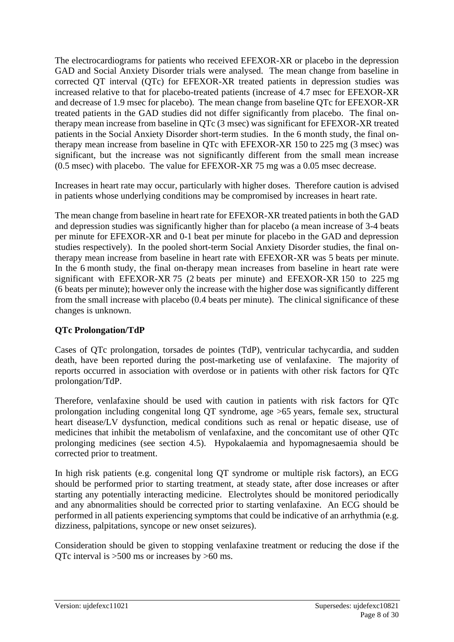The electrocardiograms for patients who received EFEXOR-XR or placebo in the depression GAD and Social Anxiety Disorder trials were analysed. The mean change from baseline in corrected QT interval (QTc) for EFEXOR-XR treated patients in depression studies was increased relative to that for placebo-treated patients (increase of 4.7 msec for EFEXOR-XR and decrease of 1.9 msec for placebo). The mean change from baseline QTc for EFEXOR-XR treated patients in the GAD studies did not differ significantly from placebo. The final ontherapy mean increase from baseline in QTc (3 msec) was significant for EFEXOR-XR treated patients in the Social Anxiety Disorder short-term studies. In the 6 month study, the final ontherapy mean increase from baseline in QTc with EFEXOR-XR 150 to 225 mg (3 msec) was significant, but the increase was not significantly different from the small mean increase (0.5 msec) with placebo. The value for EFEXOR-XR 75 mg was a 0.05 msec decrease.

Increases in heart rate may occur, particularly with higher doses. Therefore caution is advised in patients whose underlying conditions may be compromised by increases in heart rate.

The mean change from baseline in heart rate for EFEXOR-XR treated patients in both the GAD and depression studies was significantly higher than for placebo (a mean increase of 3-4 beats per minute for EFEXOR-XR and 0-1 beat per minute for placebo in the GAD and depression studies respectively). In the pooled short-term Social Anxiety Disorder studies, the final ontherapy mean increase from baseline in heart rate with EFEXOR-XR was 5 beats per minute. In the 6 month study, the final on-therapy mean increases from baseline in heart rate were significant with EFEXOR-XR 75 (2 beats per minute) and EFEXOR-XR 150 to 225 mg (6 beats per minute); however only the increase with the higher dose was significantly different from the small increase with placebo (0.4 beats per minute). The clinical significance of these changes is unknown.

### **QTc Prolongation/TdP**

Cases of QTc prolongation, torsades de pointes (TdP), ventricular tachycardia, and sudden death, have been reported during the post-marketing use of venlafaxine. The majority of reports occurred in association with overdose or in patients with other risk factors for QTc prolongation/TdP.

Therefore, venlafaxine should be used with caution in patients with risk factors for QTc prolongation including congenital long QT syndrome, age >65 years, female sex, structural heart disease/LV dysfunction, medical conditions such as renal or hepatic disease, use of medicines that inhibit the metabolism of venlafaxine, and the concomitant use of other QTc prolonging medicines (see section 4.5). Hypokalaemia and hypomagnesaemia should be corrected prior to treatment.

In high risk patients (e.g. congenital long QT syndrome or multiple risk factors), an ECG should be performed prior to starting treatment, at steady state, after dose increases or after starting any potentially interacting medicine. Electrolytes should be monitored periodically and any abnormalities should be corrected prior to starting venlafaxine. An ECG should be performed in all patients experiencing symptoms that could be indicative of an arrhythmia (e.g. dizziness, palpitations, syncope or new onset seizures).

Consideration should be given to stopping venlafaxine treatment or reducing the dose if the QTc interval is >500 ms or increases by >60 ms.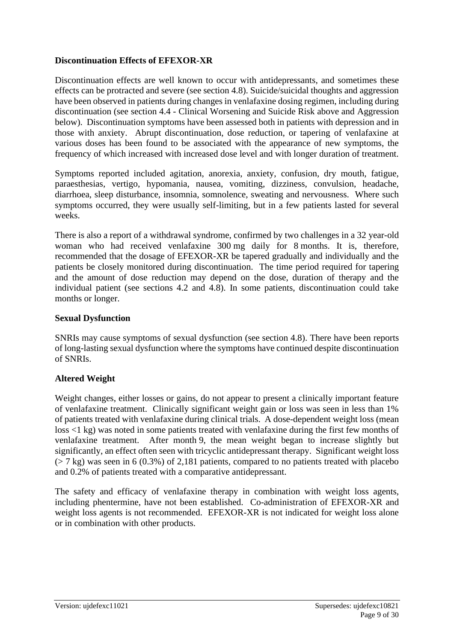### **Discontinuation Effects of EFEXOR-XR**

Discontinuation effects are well known to occur with antidepressants, and sometimes these effects can be protracted and severe (see section 4.8). Suicide/suicidal thoughts and aggression have been observed in patients during changes in venlafaxine dosing regimen, including during discontinuation (see section 4.4 - Clinical Worsening and Suicide Risk above and Aggression below). Discontinuation symptoms have been assessed both in patients with depression and in those with anxiety. Abrupt discontinuation, dose reduction, or tapering of venlafaxine at various doses has been found to be associated with the appearance of new symptoms, the frequency of which increased with increased dose level and with longer duration of treatment.

Symptoms reported included agitation, anorexia, anxiety, confusion, dry mouth, fatigue, paraesthesias, vertigo, hypomania, nausea, vomiting, dizziness, convulsion, headache, diarrhoea, sleep disturbance, insomnia, somnolence, sweating and nervousness. Where such symptoms occurred, they were usually self-limiting, but in a few patients lasted for several weeks.

There is also a report of a withdrawal syndrome, confirmed by two challenges in a 32 year-old woman who had received venlafaxine 300 mg daily for 8 months. It is, therefore, recommended that the dosage of EFEXOR-XR be tapered gradually and individually and the patients be closely monitored during discontinuation. The time period required for tapering and the amount of dose reduction may depend on the dose, duration of therapy and the individual patient (see sections 4.2 and 4.8). In some patients, discontinuation could take months or longer.

### **Sexual Dysfunction**

SNRIs may cause symptoms of sexual dysfunction (see section 4.8). There have been reports of long-lasting sexual dysfunction where the symptoms have continued despite discontinuation of SNRIs.

### **Altered Weight**

Weight changes, either losses or gains, do not appear to present a clinically important feature of venlafaxine treatment. Clinically significant weight gain or loss was seen in less than 1% of patients treated with venlafaxine during clinical trials. A dose-dependent weight loss (mean loss <1 kg) was noted in some patients treated with venlafaxine during the first few months of venlafaxine treatment. After month 9, the mean weight began to increase slightly but significantly, an effect often seen with tricyclic antidepressant therapy. Significant weight loss  $(5.7 \text{ kg})$  was seen in 6 (0.3%) of 2,181 patients, compared to no patients treated with placebo and 0.2% of patients treated with a comparative antidepressant.

The safety and efficacy of venlafaxine therapy in combination with weight loss agents, including phentermine, have not been established. Co-administration of EFEXOR-XR and weight loss agents is not recommended. EFEXOR-XR is not indicated for weight loss alone or in combination with other products.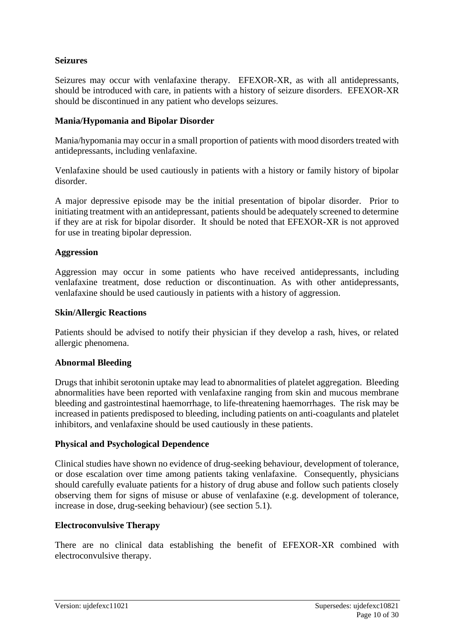### **Seizures**

Seizures may occur with venlafaxine therapy. EFEXOR-XR, as with all antidepressants, should be introduced with care, in patients with a history of seizure disorders. EFEXOR-XR should be discontinued in any patient who develops seizures.

### **Mania/Hypomania and Bipolar Disorder**

Mania/hypomania may occur in a small proportion of patients with mood disorders treated with antidepressants, including venlafaxine.

Venlafaxine should be used cautiously in patients with a history or family history of bipolar disorder.

A major depressive episode may be the initial presentation of bipolar disorder. Prior to initiating treatment with an antidepressant, patients should be adequately screened to determine if they are at risk for bipolar disorder. It should be noted that EFEXOR-XR is not approved for use in treating bipolar depression.

### **Aggression**

Aggression may occur in some patients who have received antidepressants, including venlafaxine treatment, dose reduction or discontinuation. As with other antidepressants, venlafaxine should be used cautiously in patients with a history of aggression.

#### **Skin/Allergic Reactions**

Patients should be advised to notify their physician if they develop a rash, hives, or related allergic phenomena.

### **Abnormal Bleeding**

Drugs that inhibit serotonin uptake may lead to abnormalities of platelet aggregation. Bleeding abnormalities have been reported with venlafaxine ranging from skin and mucous membrane bleeding and gastrointestinal haemorrhage, to life-threatening haemorrhages. The risk may be increased in patients predisposed to bleeding, including patients on anti-coagulants and platelet inhibitors, and venlafaxine should be used cautiously in these patients.

### **Physical and Psychological Dependence**

Clinical studies have shown no evidence of drug-seeking behaviour, development of tolerance, or dose escalation over time among patients taking venlafaxine. Consequently, physicians should carefully evaluate patients for a history of drug abuse and follow such patients closely observing them for signs of misuse or abuse of venlafaxine (e.g. development of tolerance, increase in dose, drug-seeking behaviour) (see section 5.1).

### **Electroconvulsive Therapy**

There are no clinical data establishing the benefit of EFEXOR-XR combined with electroconvulsive therapy.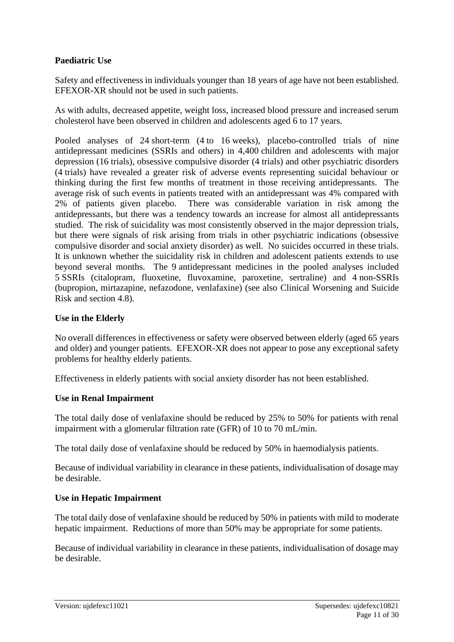### **Paediatric Use**

Safety and effectiveness in individuals younger than 18 years of age have not been established. EFEXOR-XR should not be used in such patients.

As with adults, decreased appetite, weight loss, increased blood pressure and increased serum cholesterol have been observed in children and adolescents aged 6 to 17 years.

Pooled analyses of 24 short-term (4 to 16 weeks), placebo-controlled trials of nine antidepressant medicines (SSRIs and others) in 4,400 children and adolescents with major depression (16 trials), obsessive compulsive disorder (4 trials) and other psychiatric disorders (4 trials) have revealed a greater risk of adverse events representing suicidal behaviour or thinking during the first few months of treatment in those receiving antidepressants. The average risk of such events in patients treated with an antidepressant was 4% compared with 2% of patients given placebo. There was considerable variation in risk among the antidepressants, but there was a tendency towards an increase for almost all antidepressants studied. The risk of suicidality was most consistently observed in the major depression trials, but there were signals of risk arising from trials in other psychiatric indications (obsessive compulsive disorder and social anxiety disorder) as well. No suicides occurred in these trials. It is unknown whether the suicidality risk in children and adolescent patients extends to use beyond several months. The 9 antidepressant medicines in the pooled analyses included 5 SSRIs (citalopram, fluoxetine, fluvoxamine, paroxetine, sertraline) and 4 non-SSRIs (bupropion, mirtazapine, nefazodone, venlafaxine) (see also Clinical Worsening and Suicide Risk and section 4.8).

#### **Use in the Elderly**

No overall differences in effectiveness or safety were observed between elderly (aged 65 years and older) and younger patients. EFEXOR-XR does not appear to pose any exceptional safety problems for healthy elderly patients.

Effectiveness in elderly patients with social anxiety disorder has not been established.

#### **Use in Renal Impairment**

The total daily dose of venlafaxine should be reduced by 25% to 50% for patients with renal impairment with a glomerular filtration rate (GFR) of 10 to 70 mL/min.

The total daily dose of venlafaxine should be reduced by 50% in haemodialysis patients.

Because of individual variability in clearance in these patients, individualisation of dosage may be desirable.

### **Use in Hepatic Impairment**

The total daily dose of venlafaxine should be reduced by 50% in patients with mild to moderate hepatic impairment. Reductions of more than 50% may be appropriate for some patients.

Because of individual variability in clearance in these patients, individualisation of dosage may be desirable.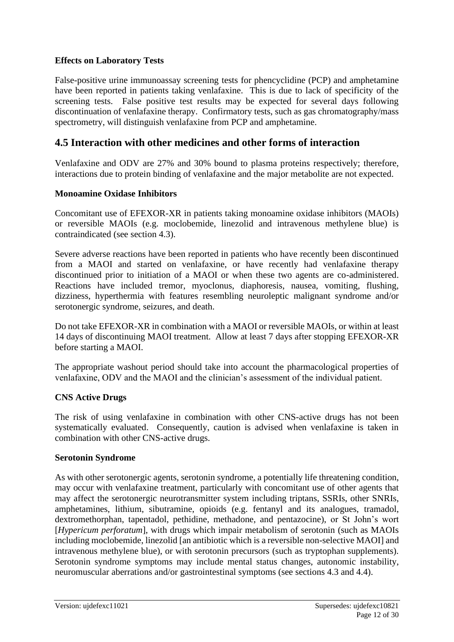### **Effects on Laboratory Tests**

False-positive urine immunoassay screening tests for phencyclidine (PCP) and amphetamine have been reported in patients taking venlafaxine. This is due to lack of specificity of the screening tests. False positive test results may be expected for several days following discontinuation of venlafaxine therapy. Confirmatory tests, such as gas chromatography/mass spectrometry, will distinguish venlafaxine from PCP and amphetamine.

## **4.5 Interaction with other medicines and other forms of interaction**

Venlafaxine and ODV are 27% and 30% bound to plasma proteins respectively; therefore, interactions due to protein binding of venlafaxine and the major metabolite are not expected.

### **Monoamine Oxidase Inhibitors**

Concomitant use of EFEXOR-XR in patients taking monoamine oxidase inhibitors (MAOIs) or reversible MAOIs (e.g. moclobemide, linezolid and intravenous methylene blue) is contraindicated (see section 4.3).

Severe adverse reactions have been reported in patients who have recently been discontinued from a MAOI and started on venlafaxine, or have recently had venlafaxine therapy discontinued prior to initiation of a MAOI or when these two agents are co-administered. Reactions have included tremor, myoclonus, diaphoresis, nausea, vomiting, flushing, dizziness, hyperthermia with features resembling neuroleptic malignant syndrome and/or serotonergic syndrome, seizures, and death.

Do not take EFEXOR-XR in combination with a MAOI or reversible MAOIs, or within at least 14 days of discontinuing MAOI treatment. Allow at least 7 days after stopping EFEXOR-XR before starting a MAOI.

The appropriate washout period should take into account the pharmacological properties of venlafaxine, ODV and the MAOI and the clinician's assessment of the individual patient.

### **CNS Active Drugs**

The risk of using venlafaxine in combination with other CNS-active drugs has not been systematically evaluated. Consequently, caution is advised when venlafaxine is taken in combination with other CNS-active drugs.

### **Serotonin Syndrome**

As with other serotonergic agents, serotonin syndrome, a potentially life threatening condition, may occur with venlafaxine treatment, particularly with concomitant use of other agents that may affect the serotonergic neurotransmitter system including triptans, SSRIs, other SNRIs, amphetamines, lithium, sibutramine, opioids (e.g. fentanyl and its analogues, tramadol, dextromethorphan, tapentadol, pethidine, methadone, and pentazocine), or St John's wort [*Hypericum perforatum*], with drugs which impair metabolism of serotonin (such as MAOIs including moclobemide, linezolid [an antibiotic which is a reversible non-selective MAOI] and intravenous methylene blue), or with serotonin precursors (such as tryptophan supplements). Serotonin syndrome symptoms may include mental status changes, autonomic instability, neuromuscular aberrations and/or gastrointestinal symptoms (see sections 4.3 and 4.4).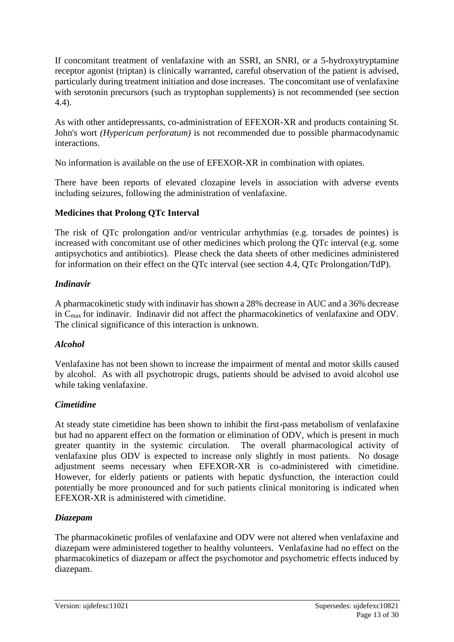If concomitant treatment of venlafaxine with an SSRI, an SNRI, or a 5-hydroxytryptamine receptor agonist (triptan) is clinically warranted, careful observation of the patient is advised, particularly during treatment initiation and dose increases. The concomitant use of venlafaxine with serotonin precursors (such as tryptophan supplements) is not recommended (see section 4.4).

As with other antidepressants, co-administration of EFEXOR-XR and products containing St. John's wort *(Hypericum perforatum)* is not recommended due to possible pharmacodynamic interactions.

No information is available on the use of EFEXOR-XR in combination with opiates.

There have been reports of elevated clozapine levels in association with adverse events including seizures, following the administration of venlafaxine.

## **Medicines that Prolong QTc Interval**

The risk of QTc prolongation and/or ventricular arrhythmias (e.g. torsades de pointes) is increased with concomitant use of other medicines which prolong the QTc interval (e.g. some antipsychotics and antibiotics). Please check the data sheets of other medicines administered for information on their effect on the QTc interval (see section 4.4, QTc Prolongation/TdP).

### *Indinavir*

A pharmacokinetic study with indinavir has shown a 28% decrease in AUC and a 36% decrease in Cmax for indinavir. Indinavir did not affect the pharmacokinetics of venlafaxine and ODV. The clinical significance of this interaction is unknown.

# *Alcohol*

Venlafaxine has not been shown to increase the impairment of mental and motor skills caused by alcohol. As with all psychotropic drugs, patients should be advised to avoid alcohol use while taking venlafaxine.

# *Cimetidine*

At steady state cimetidine has been shown to inhibit the first-pass metabolism of venlafaxine but had no apparent effect on the formation or elimination of ODV, which is present in much greater quantity in the systemic circulation. The overall pharmacological activity of venlafaxine plus ODV is expected to increase only slightly in most patients. No dosage adjustment seems necessary when EFEXOR-XR is co-administered with cimetidine. However, for elderly patients or patients with hepatic dysfunction, the interaction could potentially be more pronounced and for such patients clinical monitoring is indicated when EFEXOR-XR is administered with cimetidine.

# *Diazepam*

The pharmacokinetic profiles of venlafaxine and ODV were not altered when venlafaxine and diazepam were administered together to healthy volunteers. Venlafaxine had no effect on the pharmacokinetics of diazepam or affect the psychomotor and psychometric effects induced by diazepam.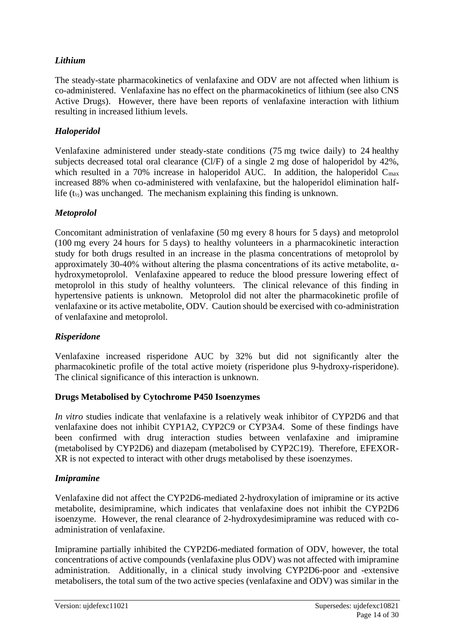### *Lithium*

The steady-state pharmacokinetics of venlafaxine and ODV are not affected when lithium is co-administered. Venlafaxine has no effect on the pharmacokinetics of lithium (see also CNS Active Drugs). However, there have been reports of venlafaxine interaction with lithium resulting in increased lithium levels.

### *Haloperidol*

Venlafaxine administered under steady-state conditions (75 mg twice daily) to 24 healthy subjects decreased total oral clearance (Cl/F) of a single 2 mg dose of haloperidol by 42%, which resulted in a 70% increase in haloperidol AUC. In addition, the haloperidol  $C_{\text{max}}$ increased 88% when co-administered with venlafaxine, but the haloperidol elimination halflife  $(t_{1/2})$  was unchanged. The mechanism explaining this finding is unknown.

### *Metoprolol*

Concomitant administration of venlafaxine (50 mg every 8 hours for 5 days) and metoprolol (100 mg every 24 hours for 5 days) to healthy volunteers in a pharmacokinetic interaction study for both drugs resulted in an increase in the plasma concentrations of metoprolol by approximately 30-40% without altering the plasma concentrations of its active metabolite, αhydroxymetoprolol. Venlafaxine appeared to reduce the blood pressure lowering effect of metoprolol in this study of healthy volunteers. The clinical relevance of this finding in hypertensive patients is unknown. Metoprolol did not alter the pharmacokinetic profile of venlafaxine or its active metabolite, ODV. Caution should be exercised with co-administration of venlafaxine and metoprolol.

### *Risperidone*

Venlafaxine increased risperidone AUC by 32% but did not significantly alter the pharmacokinetic profile of the total active moiety (risperidone plus 9-hydroxy-risperidone). The clinical significance of this interaction is unknown.

### **Drugs Metabolised by Cytochrome P450 Isoenzymes**

*In vitro* studies indicate that venlafaxine is a relatively weak inhibitor of CYP2D6 and that venlafaxine does not inhibit CYP1A2, CYP2C9 or CYP3A4. Some of these findings have been confirmed with drug interaction studies between venlafaxine and imipramine (metabolised by CYP2D6) and diazepam (metabolised by CYP2C19). Therefore, EFEXOR-XR is not expected to interact with other drugs metabolised by these isoenzymes.

### *Imipramine*

Venlafaxine did not affect the CYP2D6-mediated 2-hydroxylation of imipramine or its active metabolite, desimipramine, which indicates that venlafaxine does not inhibit the CYP2D6 isoenzyme. However, the renal clearance of 2-hydroxydesimipramine was reduced with coadministration of venlafaxine.

Imipramine partially inhibited the CYP2D6-mediated formation of ODV, however, the total concentrations of active compounds (venlafaxine plus ODV) was not affected with imipramine administration. Additionally, in a clinical study involving CYP2D6-poor and -extensive metabolisers, the total sum of the two active species (venlafaxine and ODV) was similar in the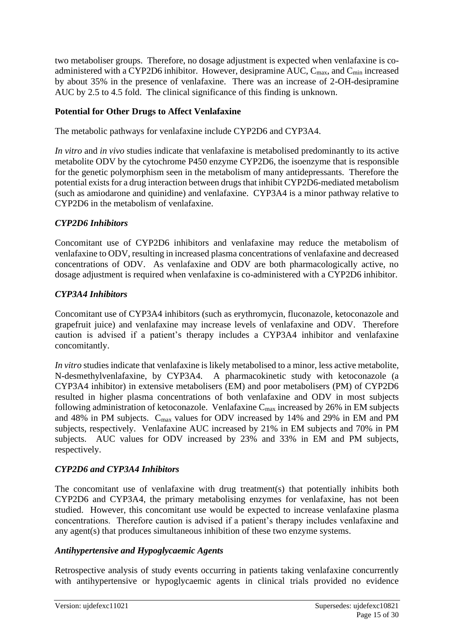two metaboliser groups. Therefore, no dosage adjustment is expected when venlafaxine is coadministered with a CYP2D6 inhibitor. However, desipramine AUC,  $C_{\text{max}}$ , and  $C_{\text{min}}$  increased by about 35% in the presence of venlafaxine. There was an increase of 2-OH-desipramine AUC by 2.5 to 4.5 fold. The clinical significance of this finding is unknown.

### **Potential for Other Drugs to Affect Venlafaxine**

The metabolic pathways for venlafaxine include CYP2D6 and CYP3A4.

*In vitro* and *in vivo* studies indicate that venlafaxine is metabolised predominantly to its active metabolite ODV by the cytochrome P450 enzyme CYP2D6, the isoenzyme that is responsible for the genetic polymorphism seen in the metabolism of many antidepressants. Therefore the potential exists for a drug interaction between drugs that inhibit CYP2D6-mediated metabolism (such as amiodarone and quinidine) and venlafaxine. CYP3A4 is a minor pathway relative to CYP2D6 in the metabolism of venlafaxine.

# *CYP2D6 Inhibitors*

Concomitant use of CYP2D6 inhibitors and venlafaxine may reduce the metabolism of venlafaxine to ODV, resulting in increased plasma concentrations of venlafaxine and decreased concentrations of ODV. As venlafaxine and ODV are both pharmacologically active, no dosage adjustment is required when venlafaxine is co-administered with a CYP2D6 inhibitor.

# *CYP3A4 Inhibitors*

Concomitant use of CYP3A4 inhibitors (such as erythromycin, fluconazole, ketoconazole and grapefruit juice) and venlafaxine may increase levels of venlafaxine and ODV. Therefore caution is advised if a patient's therapy includes a CYP3A4 inhibitor and venlafaxine concomitantly.

*In vitro* studies indicate that venlafaxine is likely metabolised to a minor, less active metabolite, N-desmethylvenlafaxine, by CYP3A4. A pharmacokinetic study with ketoconazole (a CYP3A4 inhibitor) in extensive metabolisers (EM) and poor metabolisers (PM) of CYP2D6 resulted in higher plasma concentrations of both venlafaxine and ODV in most subjects following administration of ketoconazole. Venlafaxine  $C_{\text{max}}$  increased by 26% in EM subjects and 48% in PM subjects. Cmax values for ODV increased by 14% and 29% in EM and PM subjects, respectively. Venlafaxine AUC increased by 21% in EM subjects and 70% in PM subjects. AUC values for ODV increased by 23% and 33% in EM and PM subjects, respectively.

# *CYP2D6 and CYP3A4 Inhibitors*

The concomitant use of venlafaxine with drug treatment(s) that potentially inhibits both CYP2D6 and CYP3A4, the primary metabolising enzymes for venlafaxine, has not been studied. However, this concomitant use would be expected to increase venlafaxine plasma concentrations. Therefore caution is advised if a patient's therapy includes venlafaxine and any agent(s) that produces simultaneous inhibition of these two enzyme systems.

### *Antihypertensive and Hypoglycaemic Agents*

Retrospective analysis of study events occurring in patients taking venlafaxine concurrently with antihypertensive or hypoglycaemic agents in clinical trials provided no evidence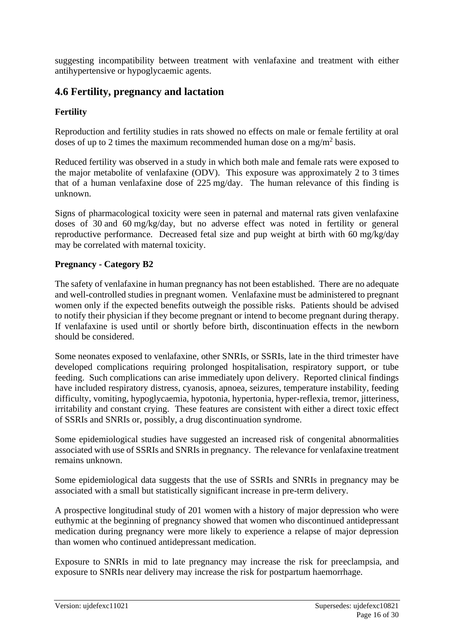suggesting incompatibility between treatment with venlafaxine and treatment with either antihypertensive or hypoglycaemic agents.

# **4.6 Fertility, pregnancy and lactation**

### **Fertility**

Reproduction and fertility studies in rats showed no effects on male or female fertility at oral doses of up to 2 times the maximum recommended human dose on a mg/m<sup>2</sup> basis.

Reduced fertility was observed in a study in which both male and female rats were exposed to the major metabolite of venlafaxine (ODV). This exposure was approximately 2 to 3 times that of a human venlafaxine dose of 225 mg/day. The human relevance of this finding is unknown.

Signs of pharmacological toxicity were seen in paternal and maternal rats given venlafaxine doses of 30 and 60 mg/kg/day, but no adverse effect was noted in fertility or general reproductive performance. Decreased fetal size and pup weight at birth with 60 mg/kg/day may be correlated with maternal toxicity.

### **Pregnancy - Category B2**

The safety of venlafaxine in human pregnancy has not been established. There are no adequate and well-controlled studies in pregnant women. Venlafaxine must be administered to pregnant women only if the expected benefits outweigh the possible risks. Patients should be advised to notify their physician if they become pregnant or intend to become pregnant during therapy. If venlafaxine is used until or shortly before birth, discontinuation effects in the newborn should be considered.

Some neonates exposed to venlafaxine, other SNRIs, or SSRIs, late in the third trimester have developed complications requiring prolonged hospitalisation, respiratory support, or tube feeding. Such complications can arise immediately upon delivery. Reported clinical findings have included respiratory distress, cyanosis, apnoea, seizures, temperature instability, feeding difficulty, vomiting, hypoglycaemia, hypotonia, hypertonia, hyper-reflexia, tremor, jitteriness, irritability and constant crying. These features are consistent with either a direct toxic effect of SSRIs and SNRIs or, possibly, a drug discontinuation syndrome.

Some epidemiological studies have suggested an increased risk of congenital abnormalities associated with use of SSRIs and SNRIs in pregnancy. The relevance for venlafaxine treatment remains unknown.

Some epidemiological data suggests that the use of SSRIs and SNRIs in pregnancy may be associated with a small but statistically significant increase in pre-term delivery.

A prospective longitudinal study of 201 women with a history of major depression who were euthymic at the beginning of pregnancy showed that women who discontinued antidepressant medication during pregnancy were more likely to experience a relapse of major depression than women who continued antidepressant medication.

Exposure to SNRIs in mid to late pregnancy may increase the risk for preeclampsia, and exposure to SNRIs near delivery may increase the risk for postpartum haemorrhage.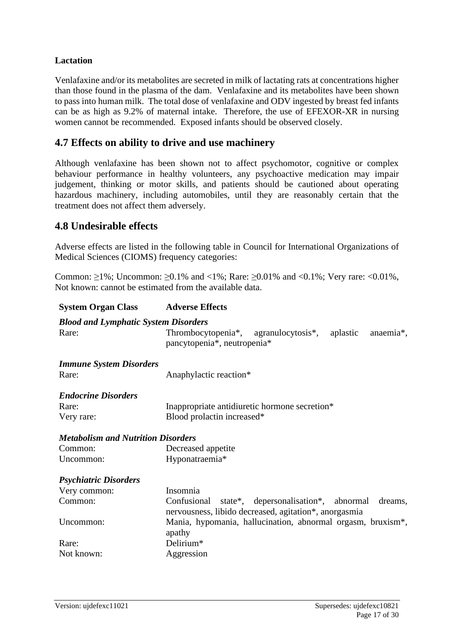### **Lactation**

Venlafaxine and/or its metabolites are secreted in milk of lactating rats at concentrations higher than those found in the plasma of the dam. Venlafaxine and its metabolites have been shown to pass into human milk. The total dose of venlafaxine and ODV ingested by breast fed infants can be as high as 9.2% of maternal intake. Therefore, the use of EFEXOR-XR in nursing women cannot be recommended. Exposed infants should be observed closely.

# **4.7 Effects on ability to drive and use machinery**

Although venlafaxine has been shown not to affect psychomotor, cognitive or complex behaviour performance in healthy volunteers, any psychoactive medication may impair judgement, thinking or motor skills, and patients should be cautioned about operating hazardous machinery, including automobiles, until they are reasonably certain that the treatment does not affect them adversely.

## **4.8 Undesirable effects**

Adverse effects are listed in the following table in Council for International Organizations of Medical Sciences (CIOMS) frequency categories:

Common: ≥1%; Uncommon: ≥0.1% and <1%; Rare: ≥0.01% and <0.1%; Very rare: <0.01%, Not known: cannot be estimated from the available data.

### **System Organ Class Adverse Effects**

#### *Blood and Lymphatic System Disorders*

| Rare: | Thrombocytopenia <sup>*</sup> , agranulocytosis <sup>*</sup> , |  | aplastic anaemia <sup>*</sup> , |
|-------|----------------------------------------------------------------|--|---------------------------------|
|       | pancytopenia <sup>*</sup> , neutropenia <sup>*</sup>           |  |                                 |

| <b>Immune System Disorders</b><br>Rare:   | Anaphylactic reaction*                                         |
|-------------------------------------------|----------------------------------------------------------------|
| <b>Endocrine Disorders</b>                |                                                                |
| Rare:                                     | Inappropriate antidiuretic hormone secretion*                  |
| Very rare:                                | Blood prolactin increased*                                     |
| <b>Metabolism and Nutrition Disorders</b> |                                                                |
| Common:                                   | Decreased appetite                                             |
| Uncommon:                                 | Hyponatraemia*                                                 |
| <b>Psychiatric Disorders</b>              |                                                                |
| Very common:                              | Insomnia                                                       |
| Common:                                   | state*, depersonalisation*, abnormal<br>Confusional<br>dreams, |
|                                           | nervousness, libido decreased, agitation*, anorgasmia          |
| Uncommon:                                 | Mania, hypomania, hallucination, abnormal orgasm, bruxism*,    |
|                                           | apathy                                                         |
| Rare:                                     | Delirium*                                                      |
| Not known:                                | Aggression                                                     |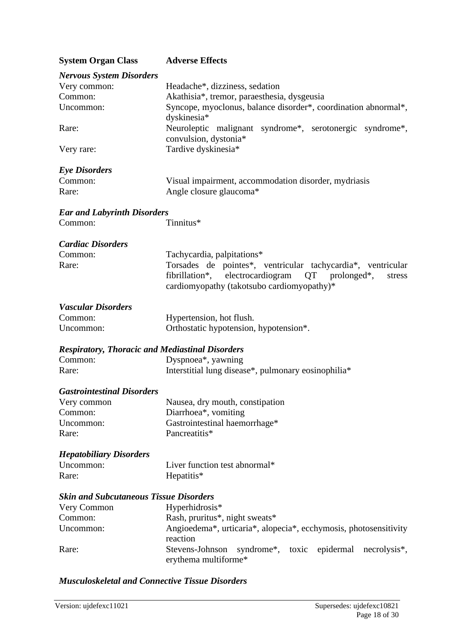| <b>System Organ Class</b>                              | <b>Adverse Effects</b>                                                                                           |  |  |  |  |  |
|--------------------------------------------------------|------------------------------------------------------------------------------------------------------------------|--|--|--|--|--|
| <b>Nervous System Disorders</b>                        |                                                                                                                  |  |  |  |  |  |
| Very common:                                           | Headache*, dizziness, sedation                                                                                   |  |  |  |  |  |
| Common:                                                | Akathisia*, tremor, paraesthesia, dysgeusia                                                                      |  |  |  |  |  |
| Uncommon:                                              | Syncope, myoclonus, balance disorder*, coordination abnormal*,<br>dyskinesia*                                    |  |  |  |  |  |
| Rare:                                                  | Neuroleptic malignant syndrome*, serotonergic syndrome*,<br>convulsion, dystonia*                                |  |  |  |  |  |
| Very rare:                                             | Tardive dyskinesia*                                                                                              |  |  |  |  |  |
| <b>Eye Disorders</b>                                   |                                                                                                                  |  |  |  |  |  |
| Common:                                                | Visual impairment, accommodation disorder, mydriasis                                                             |  |  |  |  |  |
| Rare:                                                  | Angle closure glaucoma*                                                                                          |  |  |  |  |  |
| <b>Ear and Labyrinth Disorders</b>                     |                                                                                                                  |  |  |  |  |  |
| Common:                                                | Tinnitus*                                                                                                        |  |  |  |  |  |
| <b>Cardiac Disorders</b>                               |                                                                                                                  |  |  |  |  |  |
| Common:                                                | Tachycardia, palpitations*                                                                                       |  |  |  |  |  |
| Rare:                                                  | Torsades de pointes*, ventricular tachycardia*, ventricular                                                      |  |  |  |  |  |
|                                                        | electrocardiogram<br>fibrillation*,<br>QT<br>prolonged*,<br>stress<br>cardiomyopathy (takotsubo cardiomyopathy)* |  |  |  |  |  |
| <b>Vascular Disorders</b>                              |                                                                                                                  |  |  |  |  |  |
| Common:                                                | Hypertension, hot flush.                                                                                         |  |  |  |  |  |
| Uncommon:                                              | Orthostatic hypotension, hypotension*.                                                                           |  |  |  |  |  |
| <b>Respiratory, Thoracic and Mediastinal Disorders</b> |                                                                                                                  |  |  |  |  |  |
| Common:                                                | Dyspnoea*, yawning                                                                                               |  |  |  |  |  |
| Rare:                                                  | Interstitial lung disease*, pulmonary eosinophilia*                                                              |  |  |  |  |  |
| <b>Gastrointestinal Disorders</b>                      |                                                                                                                  |  |  |  |  |  |
| Very common                                            | Nausea, dry mouth, constipation                                                                                  |  |  |  |  |  |
| Common:                                                | Diarrhoea*, vomiting                                                                                             |  |  |  |  |  |
| Uncommon:                                              | Gastrointestinal haemorrhage*                                                                                    |  |  |  |  |  |
| Rare:                                                  | Pancreatitis*                                                                                                    |  |  |  |  |  |
| <b>Hepatobiliary Disorders</b>                         |                                                                                                                  |  |  |  |  |  |
| Uncommon:                                              | Liver function test abnormal*                                                                                    |  |  |  |  |  |
| Rare:                                                  | Hepatitis*                                                                                                       |  |  |  |  |  |
| <b>Skin and Subcutaneous Tissue Disorders</b>          |                                                                                                                  |  |  |  |  |  |
| Very Common                                            | Hyperhidrosis*                                                                                                   |  |  |  |  |  |
| Common:                                                | Rash, pruritus*, night sweats*                                                                                   |  |  |  |  |  |
| Uncommon:                                              | Angioedema*, urticaria*, alopecia*, ecchymosis, photosensitivity<br>reaction                                     |  |  |  |  |  |
| Rare:                                                  | Stevens-Johnson<br>syndrome*, toxic epidermal<br>necrolysis*,<br>erythema multiforme*                            |  |  |  |  |  |

## *Musculoskeletal and Connective Tissue Disorders*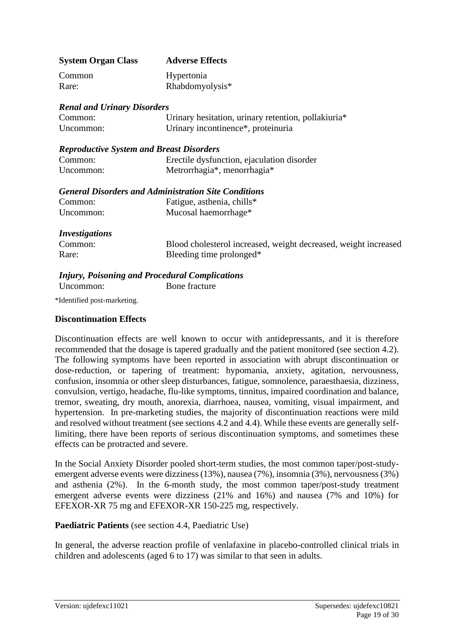| <b>System Organ Class</b> | <b>Adverse Effects</b> |
|---------------------------|------------------------|
| Common                    | Hypertonia             |
| Rare:                     | Rhabdomyolysis*        |

| <b>Renal and Urinary Disorders</b> |                                                     |  |  |  |  |  |
|------------------------------------|-----------------------------------------------------|--|--|--|--|--|
| Common:                            | Urinary hesitation, urinary retention, pollakiuria* |  |  |  |  |  |
| Uncommon:                          | Urinary incontinence <sup>*</sup> , proteinuria     |  |  |  |  |  |

#### *Reproductive System and Breast Disorders*

| Common:   | Erectile dysfunction, ejaculation disorder |
|-----------|--------------------------------------------|
| Uncommon: | Metrorrhagia*, menorrhagia*                |

| <b>General Disorders and Administration Site Conditions</b> |                                                                                                                                                                                                                                                                                                                                    |  |
|-------------------------------------------------------------|------------------------------------------------------------------------------------------------------------------------------------------------------------------------------------------------------------------------------------------------------------------------------------------------------------------------------------|--|
| $\sim$ $\sim$ $\sim$                                        | $\mathbf{r}$ $\mathbf{r}$ $\mathbf{r}$ $\mathbf{r}$ $\mathbf{r}$ $\mathbf{r}$ $\mathbf{r}$ $\mathbf{r}$ $\mathbf{r}$ $\mathbf{r}$ $\mathbf{r}$ $\mathbf{r}$ $\mathbf{r}$ $\mathbf{r}$ $\mathbf{r}$ $\mathbf{r}$ $\mathbf{r}$ $\mathbf{r}$ $\mathbf{r}$ $\mathbf{r}$ $\mathbf{r}$ $\mathbf{r}$ $\mathbf{r}$ $\mathbf{r}$ $\mathbf{$ |  |

| Common:   | Fatigue, asthenia, chills* |
|-----------|----------------------------|
| Uncommon: | Mucosal haemorrhage*       |

#### *Investigations*

| <b>INVOUUS WUUTUD</b> |                                                                 |
|-----------------------|-----------------------------------------------------------------|
| Common:               | Blood cholesterol increased, weight decreased, weight increased |
| Rare:                 | Bleeding time prolonged*                                        |

### *Injury, Poisoning and Procedural Complications*

Uncommon: Bone fracture

\*Identified post-marketing.

#### **Discontinuation Effects**

Discontinuation effects are well known to occur with antidepressants, and it is therefore recommended that the dosage is tapered gradually and the patient monitored (see section 4.2). The following symptoms have been reported in association with abrupt discontinuation or dose-reduction, or tapering of treatment: hypomania, anxiety, agitation, nervousness, confusion, insomnia or other sleep disturbances, fatigue, somnolence, paraesthaesia, dizziness, convulsion, vertigo, headache, flu-like symptoms, tinnitus, impaired coordination and balance, tremor, sweating, dry mouth, anorexia, diarrhoea, nausea, vomiting, visual impairment, and hypertension. In pre-marketing studies, the majority of discontinuation reactions were mild and resolved without treatment (see sections 4.2 and 4.4). While these events are generally selflimiting, there have been reports of serious discontinuation symptoms, and sometimes these effects can be protracted and severe.

In the Social Anxiety Disorder pooled short-term studies, the most common taper/post-studyemergent adverse events were dizziness (13%), nausea (7%), insomnia (3%), nervousness (3%) and asthenia (2%). In the 6-month study, the most common taper/post-study treatment emergent adverse events were dizziness (21% and 16%) and nausea (7% and 10%) for EFEXOR-XR 75 mg and EFEXOR-XR 150-225 mg, respectively.

### **Paediatric Patients** (see section 4.4, Paediatric Use)

In general, the adverse reaction profile of venlafaxine in placebo-controlled clinical trials in children and adolescents (aged 6 to 17) was similar to that seen in adults.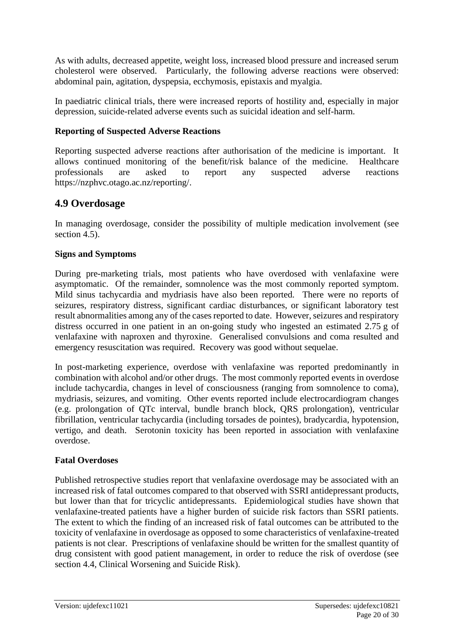As with adults, decreased appetite, weight loss, increased blood pressure and increased serum cholesterol were observed. Particularly, the following adverse reactions were observed: abdominal pain, agitation, dyspepsia, ecchymosis, epistaxis and myalgia.

In paediatric clinical trials, there were increased reports of hostility and, especially in major depression, suicide-related adverse events such as suicidal ideation and self-harm.

## **Reporting of Suspected Adverse Reactions**

Reporting suspected adverse reactions after authorisation of the medicine is important. It allows continued monitoring of the benefit/risk balance of the medicine. Healthcare professionals are asked to report any suspected adverse reactions [https://nzphvc.otago.ac.nz/reporting/.](https://nzphvc.otago.ac.nz/reporting/)

# **4.9 Overdosage**

In managing overdosage, consider the possibility of multiple medication involvement (see section 4.5).

### **Signs and Symptoms**

During pre-marketing trials, most patients who have overdosed with venlafaxine were asymptomatic. Of the remainder, somnolence was the most commonly reported symptom. Mild sinus tachycardia and mydriasis have also been reported. There were no reports of seizures, respiratory distress, significant cardiac disturbances, or significant laboratory test result abnormalities among any of the cases reported to date. However, seizures and respiratory distress occurred in one patient in an on-going study who ingested an estimated 2.75 g of venlafaxine with naproxen and thyroxine. Generalised convulsions and coma resulted and emergency resuscitation was required. Recovery was good without sequelae.

In post-marketing experience, overdose with venlafaxine was reported predominantly in combination with alcohol and/or other drugs. The most commonly reported events in overdose include tachycardia, changes in level of consciousness (ranging from somnolence to coma), mydriasis, seizures, and vomiting. Other events reported include electrocardiogram changes (e.g. prolongation of QTc interval, bundle branch block, QRS prolongation), ventricular fibrillation, ventricular tachycardia (including torsades de pointes), bradycardia, hypotension, vertigo, and death. Serotonin toxicity has been reported in association with venlafaxine overdose.

### **Fatal Overdoses**

Published retrospective studies report that venlafaxine overdosage may be associated with an increased risk of fatal outcomes compared to that observed with SSRI antidepressant products, but lower than that for tricyclic antidepressants. Epidemiological studies have shown that venlafaxine-treated patients have a higher burden of suicide risk factors than SSRI patients. The extent to which the finding of an increased risk of fatal outcomes can be attributed to the toxicity of venlafaxine in overdosage as opposed to some characteristics of venlafaxine-treated patients is not clear. Prescriptions of venlafaxine should be written for the smallest quantity of drug consistent with good patient management, in order to reduce the risk of overdose (see section 4.4, Clinical Worsening and Suicide Risk).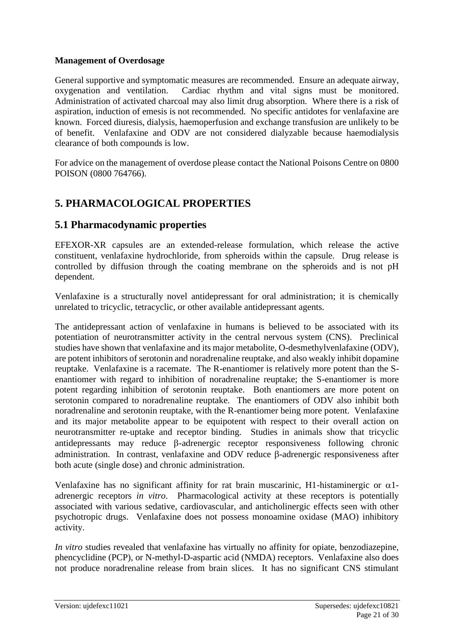### **Management of Overdosage**

General supportive and symptomatic measures are recommended. Ensure an adequate airway, oxygenation and ventilation. Cardiac rhythm and vital signs must be monitored. Administration of activated charcoal may also limit drug absorption. Where there is a risk of aspiration, induction of emesis is not recommended. No specific antidotes for venlafaxine are known. Forced diuresis, dialysis, haemoperfusion and exchange transfusion are unlikely to be of benefit. Venlafaxine and ODV are not considered dialyzable because haemodialysis clearance of both compounds is low.

For advice on the management of overdose please contact the National Poisons Centre on 0800 POISON (0800 764766).

# **5. PHARMACOLOGICAL PROPERTIES**

# **5.1 Pharmacodynamic properties**

EFEXOR-XR capsules are an extended-release formulation, which release the active constituent, venlafaxine hydrochloride, from spheroids within the capsule. Drug release is controlled by diffusion through the coating membrane on the spheroids and is not pH dependent.

Venlafaxine is a structurally novel antidepressant for oral administration; it is chemically unrelated to tricyclic, tetracyclic, or other available antidepressant agents.

The antidepressant action of venlafaxine in humans is believed to be associated with its potentiation of neurotransmitter activity in the central nervous system (CNS). Preclinical studies have shown that venlafaxine and its major metabolite, O-desmethylvenlafaxine (ODV), are potent inhibitors of serotonin and noradrenaline reuptake, and also weakly inhibit dopamine reuptake. Venlafaxine is a racemate. The R-enantiomer is relatively more potent than the Senantiomer with regard to inhibition of noradrenaline reuptake; the S-enantiomer is more potent regarding inhibition of serotonin reuptake. Both enantiomers are more potent on serotonin compared to noradrenaline reuptake. The enantiomers of ODV also inhibit both noradrenaline and serotonin reuptake, with the R-enantiomer being more potent. Venlafaxine and its major metabolite appear to be equipotent with respect to their overall action on neurotransmitter re-uptake and receptor binding. Studies in animals show that tricyclic antidepressants may reduce  $\beta$ -adrenergic receptor responsiveness following chronic administration. In contrast, venlafaxine and ODV reduce  $\beta$ -adrenergic responsiveness after both acute (single dose) and chronic administration.

Venlafaxine has no significant affinity for rat brain muscarinic, H1-histaminergic or  $\alpha$ 1adrenergic receptors *in vitro*. Pharmacological activity at these receptors is potentially associated with various sedative, cardiovascular, and anticholinergic effects seen with other psychotropic drugs. Venlafaxine does not possess monoamine oxidase (MAO) inhibitory activity.

*In vitro* studies revealed that venlafaxine has virtually no affinity for opiate, benzodiazepine, phencyclidine (PCP), or N-methyl-D-aspartic acid (NMDA) receptors. Venlafaxine also does not produce noradrenaline release from brain slices. It has no significant CNS stimulant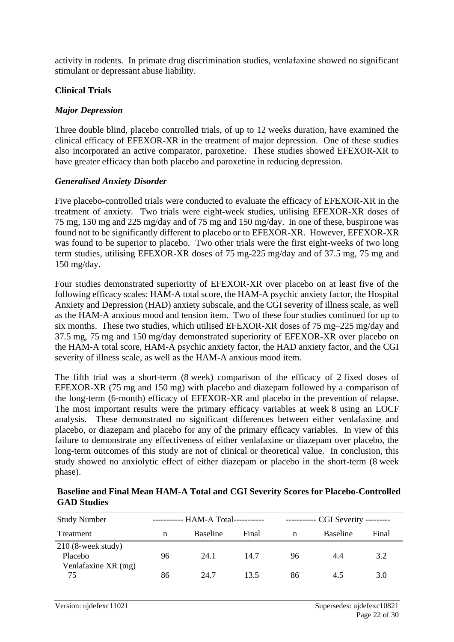activity in rodents. In primate drug discrimination studies, venlafaxine showed no significant stimulant or depressant abuse liability.

#### **Clinical Trials**

#### *Major Depression*

Three double blind, placebo controlled trials, of up to 12 weeks duration, have examined the clinical efficacy of EFEXOR-XR in the treatment of major depression. One of these studies also incorporated an active comparator, paroxetine. These studies showed EFEXOR-XR to have greater efficacy than both placebo and paroxetine in reducing depression.

#### *Generalised Anxiety Disorder*

Five placebo-controlled trials were conducted to evaluate the efficacy of EFEXOR-XR in the treatment of anxiety. Two trials were eight-week studies, utilising EFEXOR-XR doses of 75 mg, 150 mg and 225 mg/day and of 75 mg and 150 mg/day. In one of these, buspirone was found not to be significantly different to placebo or to EFEXOR-XR. However, EFEXOR-XR was found to be superior to placebo. Two other trials were the first eight-weeks of two long term studies, utilising EFEXOR-XR doses of 75 mg-225 mg/day and of 37.5 mg, 75 mg and 150 mg/day.

Four studies demonstrated superiority of EFEXOR-XR over placebo on at least five of the following efficacy scales: HAM-A total score, the HAM-A psychic anxiety factor, the Hospital Anxiety and Depression (HAD) anxiety subscale, and the CGI severity of illness scale, as well as the HAM-A anxious mood and tension item. Two of these four studies continued for up to six months. These two studies, which utilised EFEXOR-XR doses of 75 mg–225 mg/day and 37.5 mg, 75 mg and 150 mg/day demonstrated superiority of EFEXOR-XR over placebo on the HAM-A total score, HAM-A psychic anxiety factor, the HAD anxiety factor, and the CGI severity of illness scale, as well as the HAM-A anxious mood item.

The fifth trial was a short-term (8 week) comparison of the efficacy of 2 fixed doses of EFEXOR-XR (75 mg and 150 mg) with placebo and diazepam followed by a comparison of the long-term (6-month) efficacy of EFEXOR-XR and placebo in the prevention of relapse. The most important results were the primary efficacy variables at week 8 using an LOCF analysis. These demonstrated no significant differences between either venlafaxine and placebo, or diazepam and placebo for any of the primary efficacy variables. In view of this failure to demonstrate any effectiveness of either venlafaxine or diazepam over placebo, the long-term outcomes of this study are not of clinical or theoretical value. In conclusion, this study showed no anxiolytic effect of either diazepam or placebo in the short-term (8 week phase).

**Baseline and Final Mean HAM-A Total and CGI Severity Scores for Placebo-Controlled GAD Studies**

| <b>Study Number</b>                                    | ----------- HAM-A Total---------- |                 |       | ----------- CGI Severity --------- |                 |       |
|--------------------------------------------------------|-----------------------------------|-----------------|-------|------------------------------------|-----------------|-------|
| Treatment                                              | n                                 | <b>Baseline</b> | Final | n                                  | <b>Baseline</b> | Final |
| $210$ (8-week study)<br>Placebo<br>Venlafaxine XR (mg) | 96                                | 24.1            | 14.7  | 96                                 | 4.4             | 3.2   |
| 75                                                     | 86                                | 24.7            | 13.5  | 86                                 | 4.5             | 3.0   |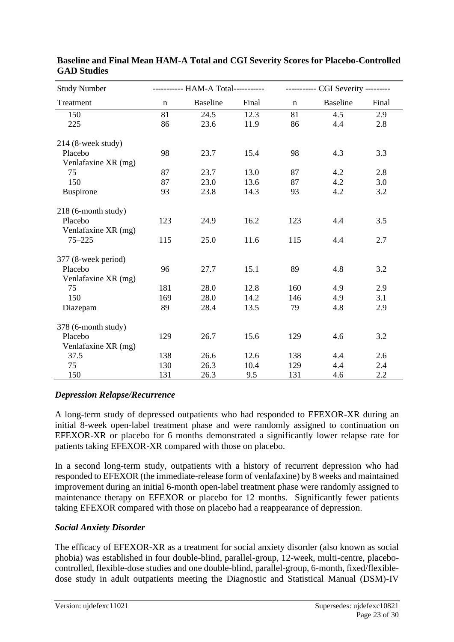| <b>Study Number</b>  | ----------- HAM-A Total----------- |                 |       | ----------- CGI Severity --------- |                 |       |
|----------------------|------------------------------------|-----------------|-------|------------------------------------|-----------------|-------|
| Treatment            | $\mathbf n$                        | <b>Baseline</b> | Final | $\mathbf n$                        | <b>Baseline</b> | Final |
| 150                  | 81                                 | 24.5            | 12.3  | 81                                 | 4.5             | 2.9   |
| 225                  | 86                                 | 23.6            | 11.9  | 86                                 | 4.4             | 2.8   |
| $214$ (8-week study) |                                    |                 |       |                                    |                 |       |
| Placebo              | 98                                 | 23.7            | 15.4  | 98                                 | 4.3             | 3.3   |
| Venlafaxine XR (mg)  |                                    |                 |       |                                    |                 |       |
| 75                   | 87                                 | 23.7            | 13.0  | 87                                 | 4.2             | 2.8   |
| 150                  | 87                                 | 23.0            | 13.6  | 87                                 | 4.2             | 3.0   |
| <b>Buspirone</b>     | 93                                 | 23.8            | 14.3  | 93                                 | 4.2             | 3.2   |
| 218 (6-month study)  |                                    |                 |       |                                    |                 |       |
| Placebo              | 123                                | 24.9            | 16.2  | 123                                | 4.4             | 3.5   |
| Venlafaxine XR (mg)  |                                    |                 |       |                                    |                 |       |
| $75 - 225$           | 115                                | 25.0            | 11.6  | 115                                | 4.4             | 2.7   |
| 377 (8-week period)  |                                    |                 |       |                                    |                 |       |
| Placebo              | 96                                 | 27.7            | 15.1  | 89                                 | 4.8             | 3.2   |
| Venlafaxine XR (mg)  |                                    |                 |       |                                    |                 |       |
| 75                   | 181                                | 28.0            | 12.8  | 160                                | 4.9             | 2.9   |
| 150                  | 169                                | 28.0            | 14.2  | 146                                | 4.9             | 3.1   |
| Diazepam             | 89                                 | 28.4            | 13.5  | 79                                 | 4.8             | 2.9   |
| 378 (6-month study)  |                                    |                 |       |                                    |                 |       |
| Placebo              | 129                                | 26.7            | 15.6  | 129                                | 4.6             | 3.2   |
| Venlafaxine XR (mg)  |                                    |                 |       |                                    |                 |       |
| 37.5                 | 138                                | 26.6            | 12.6  | 138                                | 4.4             | 2.6   |
| 75                   | 130                                | 26.3            | 10.4  | 129                                | 4.4             | 2.4   |
| 150                  | 131                                | 26.3            | 9.5   | 131                                | 4.6             | 2.2   |

### **Baseline and Final Mean HAM-A Total and CGI Severity Scores for Placebo-Controlled GAD Studies**

### *Depression Relapse/Recurrence*

A long-term study of depressed outpatients who had responded to EFEXOR-XR during an initial 8-week open-label treatment phase and were randomly assigned to continuation on EFEXOR-XR or placebo for 6 months demonstrated a significantly lower relapse rate for patients taking EFEXOR-XR compared with those on placebo.

In a second long-term study, outpatients with a history of recurrent depression who had responded to EFEXOR (the immediate-release form of venlafaxine) by 8 weeks and maintained improvement during an initial 6-month open-label treatment phase were randomly assigned to maintenance therapy on EFEXOR or placebo for 12 months. Significantly fewer patients taking EFEXOR compared with those on placebo had a reappearance of depression.

### *Social Anxiety Disorder*

The efficacy of EFEXOR-XR as a treatment for social anxiety disorder (also known as social phobia) was established in four double-blind, parallel-group, 12-week, multi-centre, placebocontrolled, flexible-dose studies and one double-blind, parallel-group, 6-month, fixed/flexibledose study in adult outpatients meeting the Diagnostic and Statistical Manual (DSM)-IV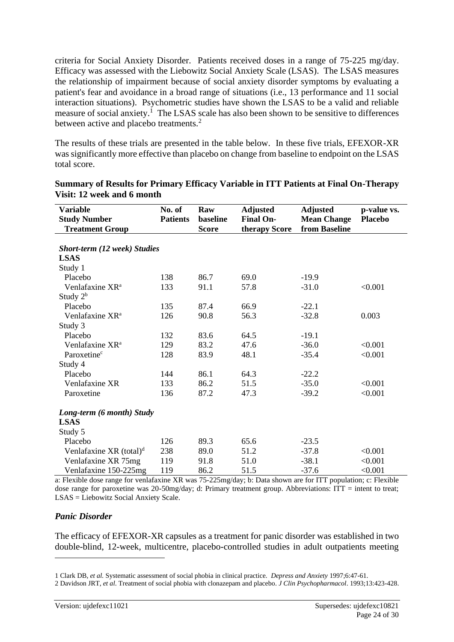criteria for Social Anxiety Disorder. Patients received doses in a range of 75-225 mg/day. Efficacy was assessed with the Liebowitz Social Anxiety Scale (LSAS). The LSAS measures the relationship of impairment because of social anxiety disorder symptoms by evaluating a patient's fear and avoidance in a broad range of situations (i.e., 13 performance and 11 social interaction situations). Psychometric studies have shown the LSAS to be a valid and reliable measure of social anxiety.<sup>1</sup> The LSAS scale has also been shown to be sensitive to differences between active and placebo treatments.<sup>2</sup>

The results of these trials are presented in the table below. In these five trials, EFEXOR-XR was significantly more effective than placebo on change from baseline to endpoint on the LSAS total score.

| <b>Variable</b>                     | No. of          | Raw          | <b>Adjusted</b>  | <b>Adjusted</b>    | p-value vs.    |
|-------------------------------------|-----------------|--------------|------------------|--------------------|----------------|
| <b>Study Number</b>                 | <b>Patients</b> | baseline     | <b>Final On-</b> | <b>Mean Change</b> | <b>Placebo</b> |
| <b>Treatment Group</b>              |                 | <b>Score</b> | therapy Score    | from Baseline      |                |
|                                     |                 |              |                  |                    |                |
| Short-term (12 week) Studies        |                 |              |                  |                    |                |
| <b>LSAS</b>                         |                 |              |                  |                    |                |
| Study 1                             |                 |              |                  |                    |                |
| Placebo                             | 138             | 86.7         | 69.0             | $-19.9$            |                |
| Venlafaxine XR <sup>a</sup>         | 133             | 91.1         | 57.8             | $-31.0$            | < 0.001        |
| Study $2^b$                         |                 |              |                  |                    |                |
| Placebo                             | 135             | 87.4         | 66.9             | $-22.1$            |                |
| Venlafaxine XR <sup>a</sup>         | 126             | 90.8         | 56.3             | $-32.8$            | 0.003          |
| Study 3                             |                 |              |                  |                    |                |
| Placebo                             | 132             | 83.6         | 64.5             | $-19.1$            |                |
| Venlafaxine XR <sup>a</sup>         | 129             | 83.2         | 47.6             | $-36.0$            | < 0.001        |
| Paroxetine <sup>c</sup>             | 128             | 83.9         | 48.1             | $-35.4$            | < 0.001        |
| Study 4                             |                 |              |                  |                    |                |
| Placebo                             | 144             | 86.1         | 64.3             | $-22.2$            |                |
| Venlafaxine XR                      | 133             | 86.2         | 51.5             | $-35.0$            | < 0.001        |
| Paroxetine                          | 136             | 87.2         | 47.3             | $-39.2$            | < 0.001        |
|                                     |                 |              |                  |                    |                |
| Long-term (6 month) Study           |                 |              |                  |                    |                |
| <b>LSAS</b>                         |                 |              |                  |                    |                |
| Study 5                             |                 |              |                  |                    |                |
| Placebo                             | 126             | 89.3         | 65.6             | $-23.5$            |                |
| Venlafaxine XR (total) <sup>d</sup> | 238             | 89.0         | 51.2             | $-37.8$            | < 0.001        |
| Venlafaxine XR 75mg                 | 119             | 91.8         | 51.0             | $-38.1$            | < 0.001        |
| Venlafaxine 150-225mg               | 119             | 86.2         | 51.5             | $-37.6$            | < 0.001        |

**Summary of Results for Primary Efficacy Variable in ITT Patients at Final On-Therapy Visit: 12 week and 6 month**

a: Flexible dose range for venlafaxine XR was 75-225mg/day; b: Data shown are for ITT population; c: Flexible dose range for paroxetine was 20-50mg/day; d: Primary treatment group. Abbreviations: ITT = intent to treat; LSAS = Liebowitz Social Anxiety Scale.

### *Panic Disorder*

The efficacy of EFEXOR-XR capsules as a treatment for panic disorder was established in two double-blind, 12-week, multicentre, placebo-controlled studies in adult outpatients meeting

<sup>1</sup> Clark DB, *et al.* Systematic assessment of social phobia in clinical practice*. Depress and Anxiety* 1997;6:47-61.

<sup>2</sup> Davidson JRT, *et al*. Treatment of social phobia with clonazepam and placebo. *J Clin Psychopharmacol*. 1993;13:423-428.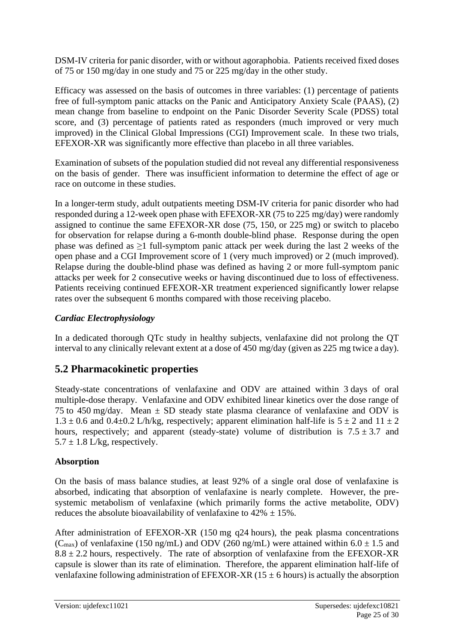DSM-IV criteria for panic disorder, with or without agoraphobia. Patients received fixed doses of 75 or 150 mg/day in one study and 75 or 225 mg/day in the other study.

Efficacy was assessed on the basis of outcomes in three variables: (1) percentage of patients free of full-symptom panic attacks on the Panic and Anticipatory Anxiety Scale (PAAS), (2) mean change from baseline to endpoint on the Panic Disorder Severity Scale (PDSS) total score, and (3) percentage of patients rated as responders (much improved or very much improved) in the Clinical Global Impressions (CGI) Improvement scale. In these two trials, EFEXOR-XR was significantly more effective than placebo in all three variables.

Examination of subsets of the population studied did not reveal any differential responsiveness on the basis of gender. There was insufficient information to determine the effect of age or race on outcome in these studies.

In a longer-term study, adult outpatients meeting DSM-IV criteria for panic disorder who had responded during a 12-week open phase with EFEXOR-XR (75 to 225 mg/day) were randomly assigned to continue the same EFEXOR-XR dose (75, 150, or 225 mg) or switch to placebo for observation for relapse during a 6-month double-blind phase. Response during the open phase was defined as  $\geq$ 1 full-symptom panic attack per week during the last 2 weeks of the open phase and a CGI Improvement score of 1 (very much improved) or 2 (much improved). Relapse during the double-blind phase was defined as having 2 or more full-symptom panic attacks per week for 2 consecutive weeks or having discontinued due to loss of effectiveness. Patients receiving continued EFEXOR-XR treatment experienced significantly lower relapse rates over the subsequent 6 months compared with those receiving placebo.

# *Cardiac Electrophysiology*

In a dedicated thorough QTc study in healthy subjects, venlafaxine did not prolong the QT interval to any clinically relevant extent at a dose of 450 mg/day (given as 225 mg twice a day).

# **5.2 Pharmacokinetic properties**

Steady-state concentrations of venlafaxine and ODV are attained within 3 days of oral multiple-dose therapy. Venlafaxine and ODV exhibited linear kinetics over the dose range of 75 to 450 mg/day. Mean  $\pm$  SD steady state plasma clearance of venlafaxine and ODV is  $1.3 \pm 0.6$  and  $0.4 \pm 0.2$  L/h/kg, respectively; apparent elimination half-life is  $5 \pm 2$  and  $11 \pm 2$ hours, respectively; and apparent (steady-state) volume of distribution is  $7.5 \pm 3.7$  and  $5.7 \pm 1.8$  L/kg, respectively.

### **Absorption**

On the basis of mass balance studies, at least 92% of a single oral dose of venlafaxine is absorbed, indicating that absorption of venlafaxine is nearly complete. However, the presystemic metabolism of venlafaxine (which primarily forms the active metabolite, ODV) reduces the absolute bioavailability of venlafaxine to  $42\% \pm 15\%$ .

After administration of EFEXOR-XR (150 mg q24 hours), the peak plasma concentrations (C<sub>max</sub>) of venlafaxine (150 ng/mL) and ODV (260 ng/mL) were attained within  $6.0 \pm 1.5$  and  $8.8 \pm 2.2$  hours, respectively. The rate of absorption of venlafaxine from the EFEXOR-XR capsule is slower than its rate of elimination. Therefore, the apparent elimination half-life of venlafaxine following administration of EFEXOR-XR (15  $\pm$  6 hours) is actually the absorption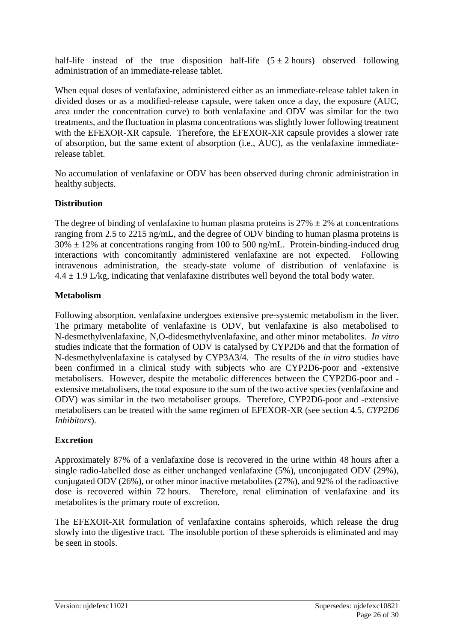half-life instead of the true disposition half-life  $(5 \pm 2 \text{ hours})$  observed following administration of an immediate-release tablet.

When equal doses of venlafaxine, administered either as an immediate-release tablet taken in divided doses or as a modified-release capsule, were taken once a day, the exposure (AUC, area under the concentration curve) to both venlafaxine and ODV was similar for the two treatments, and the fluctuation in plasma concentrations was slightly lower following treatment with the EFEXOR-XR capsule. Therefore, the EFEXOR-XR capsule provides a slower rate of absorption, but the same extent of absorption (i.e., AUC), as the venlafaxine immediaterelease tablet.

No accumulation of venlafaxine or ODV has been observed during chronic administration in healthy subjects.

## **Distribution**

The degree of binding of venlafaxine to human plasma proteins is  $27\% \pm 2\%$  at concentrations ranging from 2.5 to 2215 ng/mL, and the degree of ODV binding to human plasma proteins is  $30\% \pm 12\%$  at concentrations ranging from 100 to 500 ng/mL. Protein-binding-induced drug interactions with concomitantly administered venlafaxine are not expected. Following intravenous administration, the steady-state volume of distribution of venlafaxine is  $4.4 \pm 1.9$  L/kg, indicating that venlafaxine distributes well beyond the total body water.

### **Metabolism**

Following absorption, venlafaxine undergoes extensive pre-systemic metabolism in the liver. The primary metabolite of venlafaxine is ODV, but venlafaxine is also metabolised to N-desmethylvenlafaxine, N,O-didesmethylvenlafaxine, and other minor metabolites. *In vitro* studies indicate that the formation of ODV is catalysed by CYP2D6 and that the formation of N-desmethylvenlafaxine is catalysed by CYP3A3/4. The results of the *in vitro* studies have been confirmed in a clinical study with subjects who are CYP2D6-poor and -extensive metabolisers. However, despite the metabolic differences between the CYP2D6-poor and extensive metabolisers, the total exposure to the sum of the two active species (venlafaxine and ODV) was similar in the two metaboliser groups. Therefore, CYP2D6-poor and -extensive metabolisers can be treated with the same regimen of EFEXOR-XR (see section 4.5, *CYP2D6 Inhibitors*).

# **Excretion**

Approximately 87% of a venlafaxine dose is recovered in the urine within 48 hours after a single radio-labelled dose as either unchanged venlafaxine (5%), unconjugated ODV (29%), conjugated ODV (26%), or other minor inactive metabolites (27%), and 92% of the radioactive dose is recovered within 72 hours. Therefore, renal elimination of venlafaxine and its metabolites is the primary route of excretion.

The EFEXOR-XR formulation of venlafaxine contains spheroids, which release the drug slowly into the digestive tract. The insoluble portion of these spheroids is eliminated and may be seen in stools.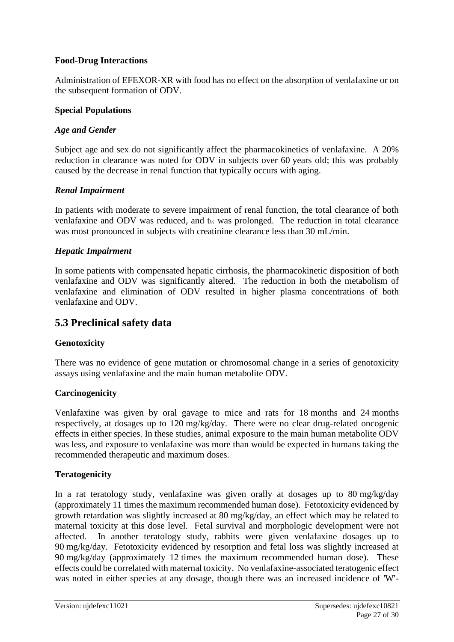### **Food-Drug Interactions**

Administration of EFEXOR-XR with food has no effect on the absorption of venlafaxine or on the subsequent formation of ODV.

### **Special Populations**

### *Age and Gender*

Subject age and sex do not significantly affect the pharmacokinetics of venlafaxine. A 20% reduction in clearance was noted for ODV in subjects over 60 years old; this was probably caused by the decrease in renal function that typically occurs with aging.

### *Renal Impairment*

In patients with moderate to severe impairment of renal function, the total clearance of both venlafaxine and ODV was reduced, and  $t_{1/2}$  was prolonged. The reduction in total clearance was most pronounced in subjects with creatinine clearance less than 30 mL/min.

### *Hepatic Impairment*

In some patients with compensated hepatic cirrhosis, the pharmacokinetic disposition of both venlafaxine and ODV was significantly altered. The reduction in both the metabolism of venlafaxine and elimination of ODV resulted in higher plasma concentrations of both venlafaxine and ODV.

# **5.3 Preclinical safety data**

### **Genotoxicity**

There was no evidence of gene mutation or chromosomal change in a series of genotoxicity assays using venlafaxine and the main human metabolite ODV.

### **Carcinogenicity**

Venlafaxine was given by oral gavage to mice and rats for 18 months and 24 months respectively, at dosages up to 120 mg/kg/day. There were no clear drug-related oncogenic effects in either species. In these studies, animal exposure to the main human metabolite ODV was less, and exposure to venlafaxine was more than would be expected in humans taking the recommended therapeutic and maximum doses.

### **Teratogenicity**

In a rat teratology study, venlafaxine was given orally at dosages up to 80 mg/kg/day (approximately 11 times the maximum recommended human dose). Fetotoxicity evidenced by growth retardation was slightly increased at 80 mg/kg/day, an effect which may be related to maternal toxicity at this dose level. Fetal survival and morphologic development were not affected. In another teratology study, rabbits were given venlafaxine dosages up to 90 mg/kg/day. Fetotoxicity evidenced by resorption and fetal loss was slightly increased at 90 mg/kg/day (approximately 12 times the maximum recommended human dose). These effects could be correlated with maternal toxicity. No venlafaxine-associated teratogenic effect was noted in either species at any dosage, though there was an increased incidence of 'W'-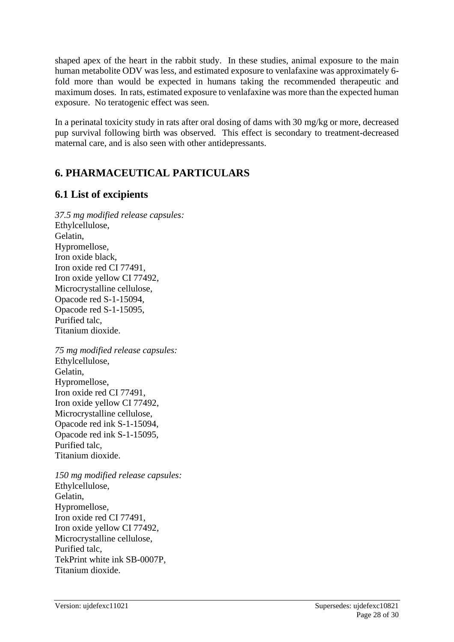shaped apex of the heart in the rabbit study. In these studies, animal exposure to the main human metabolite ODV was less, and estimated exposure to venlafaxine was approximately 6 fold more than would be expected in humans taking the recommended therapeutic and maximum doses. In rats, estimated exposure to venlafaxine was more than the expected human exposure. No teratogenic effect was seen.

In a perinatal toxicity study in rats after oral dosing of dams with 30 mg/kg or more, decreased pup survival following birth was observed. This effect is secondary to treatment-decreased maternal care, and is also seen with other antidepressants.

# **6. PHARMACEUTICAL PARTICULARS**

# **6.1 List of excipients**

*37.5 mg modified release capsules:* Ethylcellulose, Gelatin, Hypromellose, Iron oxide black, Iron oxide red CI 77491, Iron oxide yellow CI 77492, Microcrystalline cellulose, Opacode red S-1-15094, Opacode red S-1-15095, Purified talc, Titanium dioxide.

*75 mg modified release capsules:* Ethylcellulose, Gelatin, Hypromellose, Iron oxide red CI 77491, Iron oxide yellow CI 77492, Microcrystalline cellulose, Opacode red ink S-1-15094, Opacode red ink S-1-15095, Purified talc, Titanium dioxide.

*150 mg modified release capsules:* Ethylcellulose, Gelatin, Hypromellose, Iron oxide red CI 77491, Iron oxide yellow CI 77492, Microcrystalline cellulose, Purified talc, TekPrint white ink SB-0007P, Titanium dioxide.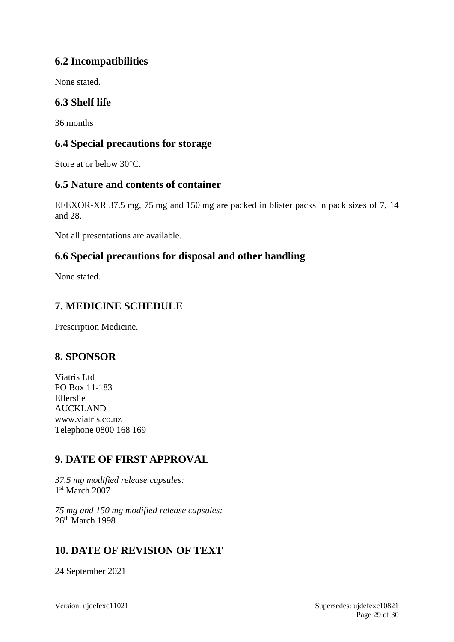# **6.2 Incompatibilities**

None stated.

# **6.3 Shelf life**

36 months

# **6.4 Special precautions for storage**

Store at or below 30°C.

# **6.5 Nature and contents of container**

EFEXOR-XR 37.5 mg, 75 mg and 150 mg are packed in blister packs in pack sizes of 7, 14 and 28.

Not all presentations are available.

# **6.6 Special precautions for disposal and other handling**

None stated.

# **7. MEDICINE SCHEDULE**

Prescription Medicine.

# **8. SPONSOR**

Viatris Ltd PO Box 11-183 Ellerslie AUCKLAND www.viatris.co.nz Telephone 0800 168 169

# **9. DATE OF FIRST APPROVAL**

*37.5 mg modified release capsules:* 1 st March 2007

*75 mg and 150 mg modified release capsules:*  $26<sup>th</sup>$  March 1998

# **10. DATE OF REVISION OF TEXT**

24 September 2021